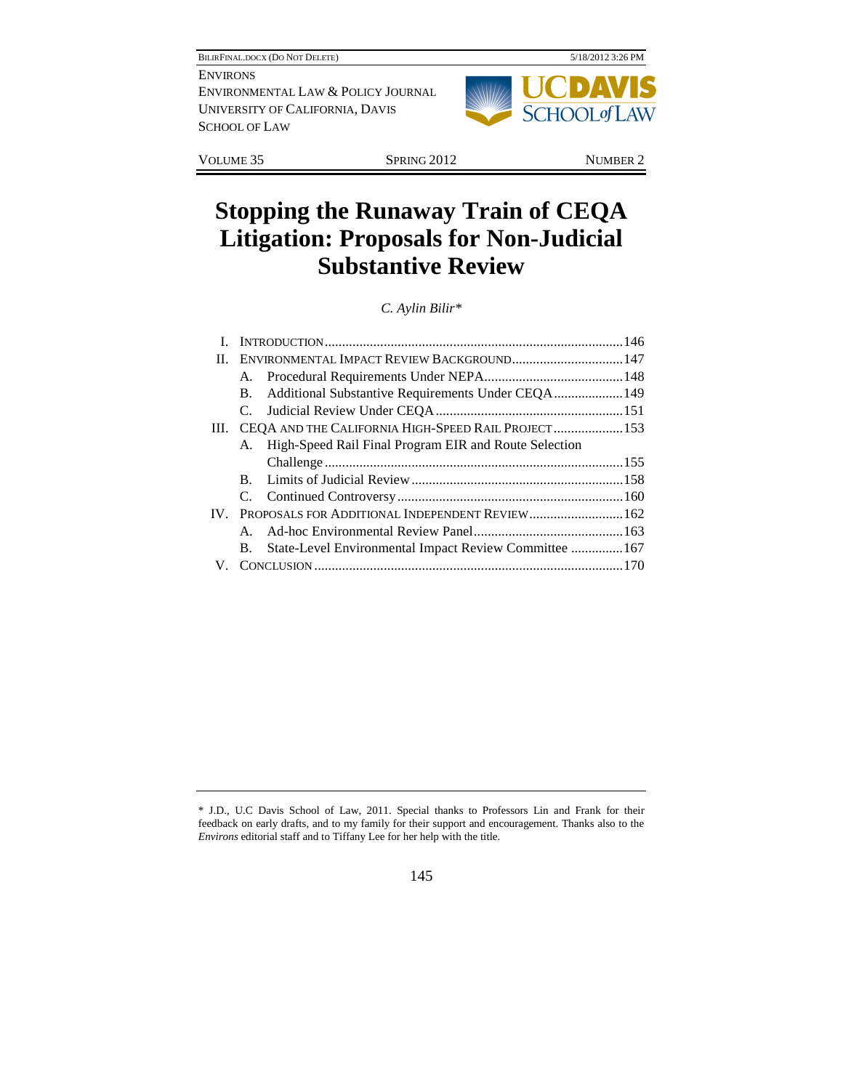

VOLUME 35 SPRING 2012 NUMBER 2

# **Stopping the Runaway Train of CEQA Litigation: Proposals for Non-Judicial Substantive Review**

*C. Aylin Bilir\** 

| П. | ENVIRONMENTAL IMPACT REVIEW BACKGROUND 147                |  |
|----|-----------------------------------------------------------|--|
|    |                                                           |  |
|    | <b>B.</b>                                                 |  |
|    |                                                           |  |
|    | III. CEQA AND THE CALIFORNIA HIGH-SPEED RAIL PROJECT 153  |  |
|    | A. High-Speed Rail Final Program EIR and Route Selection  |  |
|    |                                                           |  |
|    |                                                           |  |
|    |                                                           |  |
|    | IV. PROPOSALS FOR ADDITIONAL INDEPENDENT REVIEW 162       |  |
|    | $\mathbf{A}$                                              |  |
|    | B. State-Level Environmental Impact Review Committee  167 |  |
|    |                                                           |  |
|    |                                                           |  |

<sup>\*</sup> J.D., U.C Davis School of Law, 2011. Special thanks to Professors Lin and Frank for their feedback on early drafts, and to my family for their support and encouragement. Thanks also to the *Environs* editorial staff and to Tiffany Lee for her help with the title.

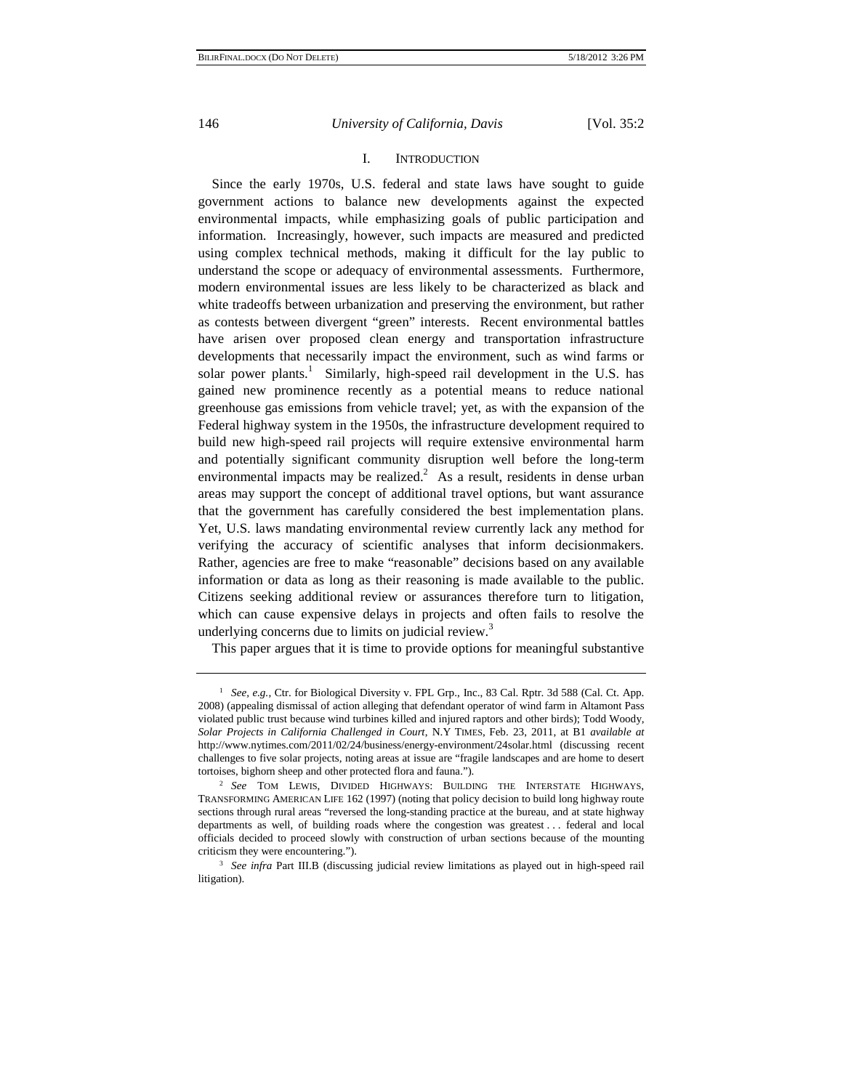# I. INTRODUCTION

Since the early 1970s, U.S. federal and state laws have sought to guide government actions to balance new developments against the expected environmental impacts, while emphasizing goals of public participation and information. Increasingly, however, such impacts are measured and predicted using complex technical methods, making it difficult for the lay public to understand the scope or adequacy of environmental assessments. Furthermore, modern environmental issues are less likely to be characterized as black and white tradeoffs between urbanization and preserving the environment, but rather as contests between divergent "green" interests. Recent environmental battles have arisen over proposed clean energy and transportation infrastructure developments that necessarily impact the environment, such as wind farms or solar power plants.<sup>1</sup> Similarly, high-speed rail development in the U.S. has gained new prominence recently as a potential means to reduce national greenhouse gas emissions from vehicle travel; yet, as with the expansion of the Federal highway system in the 1950s, the infrastructure development required to build new high-speed rail projects will require extensive environmental harm and potentially significant community disruption well before the long-term environmental impacts may be realized.<sup>2</sup> As a result, residents in dense urban areas may support the concept of additional travel options, but want assurance that the government has carefully considered the best implementation plans. Yet, U.S. laws mandating environmental review currently lack any method for verifying the accuracy of scientific analyses that inform decisionmakers. Rather, agencies are free to make "reasonable" decisions based on any available information or data as long as their reasoning is made available to the public. Citizens seeking additional review or assurances therefore turn to litigation, which can cause expensive delays in projects and often fails to resolve the underlying concerns due to limits on judicial review.<sup>3</sup>

This paper argues that it is time to provide options for meaningful substantive

<sup>1</sup> *See, e.g.*, Ctr. for Biological Diversity v. FPL Grp., Inc., 83 Cal. Rptr. 3d 588 (Cal. Ct. App. 2008) (appealing dismissal of action alleging that defendant operator of wind farm in Altamont Pass violated public trust because wind turbines killed and injured raptors and other birds); Todd Woody, *Solar Projects in California Challenged in Court*, N.Y TIMES, Feb. 23, 2011, at B1 *available at*  http://www.nytimes.com/2011/02/24/business/energy-environment/24solar.html (discussing recent challenges to five solar projects, noting areas at issue are "fragile landscapes and are home to desert tortoises, bighorn sheep and other protected flora and fauna."). 2 *See* TOM LEWIS, DIVIDED HIGHWAYS: BUILDING THE INTERSTATE HIGHWAYS,

TRANSFORMING AMERICAN LIFE 162 (1997) (noting that policy decision to build long highway route sections through rural areas "reversed the long-standing practice at the bureau, and at state highway departments as well, of building roads where the congestion was greatest . . . federal and local officials decided to proceed slowly with construction of urban sections because of the mounting criticism they were encountering."). 3 *See infra* Part III.B (discussing judicial review limitations as played out in high-speed rail

litigation).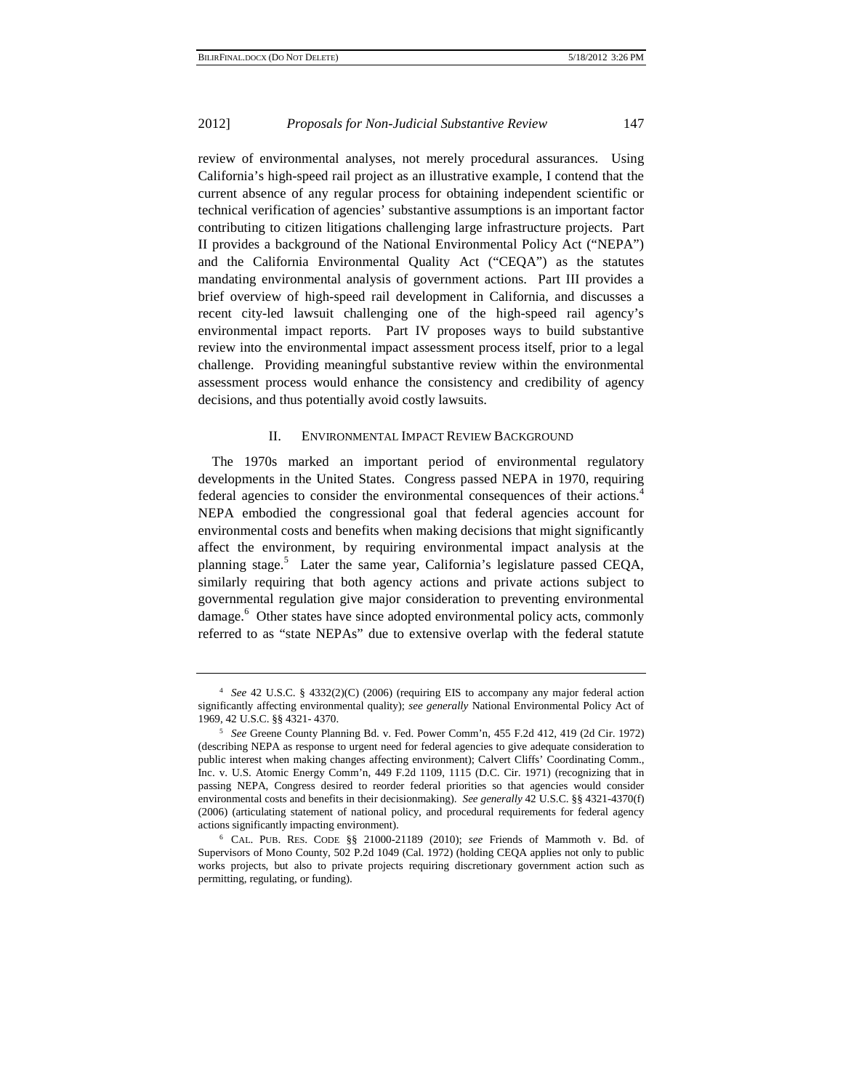review of environmental analyses, not merely procedural assurances. Using California's high-speed rail project as an illustrative example, I contend that the current absence of any regular process for obtaining independent scientific or technical verification of agencies' substantive assumptions is an important factor contributing to citizen litigations challenging large infrastructure projects. Part II provides a background of the National Environmental Policy Act ("NEPA") and the California Environmental Quality Act ("CEQA") as the statutes mandating environmental analysis of government actions. Part III provides a brief overview of high-speed rail development in California, and discusses a recent city-led lawsuit challenging one of the high-speed rail agency's environmental impact reports. Part IV proposes ways to build substantive review into the environmental impact assessment process itself, prior to a legal challenge. Providing meaningful substantive review within the environmental assessment process would enhance the consistency and credibility of agency decisions, and thus potentially avoid costly lawsuits.

# II. ENVIRONMENTAL IMPACT REVIEW BACKGROUND

The 1970s marked an important period of environmental regulatory developments in the United States. Congress passed NEPA in 1970, requiring federal agencies to consider the environmental consequences of their actions.<sup>4</sup> NEPA embodied the congressional goal that federal agencies account for environmental costs and benefits when making decisions that might significantly affect the environment, by requiring environmental impact analysis at the planning stage.<sup>5</sup> Later the same year, California's legislature passed CEQA, similarly requiring that both agency actions and private actions subject to governmental regulation give major consideration to preventing environmental damage.<sup>6</sup> Other states have since adopted environmental policy acts, commonly referred to as "state NEPAs" due to extensive overlap with the federal statute

<sup>4</sup> *See* 42 U.S.C. § 4332(2)(C) (2006) (requiring EIS to accompany any major federal action significantly affecting environmental quality); *see generally* National Environmental Policy Act of 1969, 42 U.S.C. §§ 4321- 4370. 5 *See* Greene County Planning Bd. v. Fed. Power Comm'n, 455 F.2d 412, 419 (2d Cir. 1972)

<sup>(</sup>describing NEPA as response to urgent need for federal agencies to give adequate consideration to public interest when making changes affecting environment); Calvert Cliffs' Coordinating Comm., Inc. v. U.S. Atomic Energy Comm'n, 449 F.2d 1109, 1115 (D.C. Cir. 1971) (recognizing that in passing NEPA, Congress desired to reorder federal priorities so that agencies would consider environmental costs and benefits in their decisionmaking). *See generally* 42 U.S.C. §§ 4321-4370(f) (2006) (articulating statement of national policy, and procedural requirements for federal agency actions significantly impacting environment). 6 CAL. PUB. RES. CODE §§ 21000-21189 (2010); *see* Friends of Mammoth v. Bd. of

Supervisors of Mono County, 502 P.2d 1049 (Cal. 1972) (holding CEQA applies not only to public works projects, but also to private projects requiring discretionary government action such as permitting, regulating, or funding).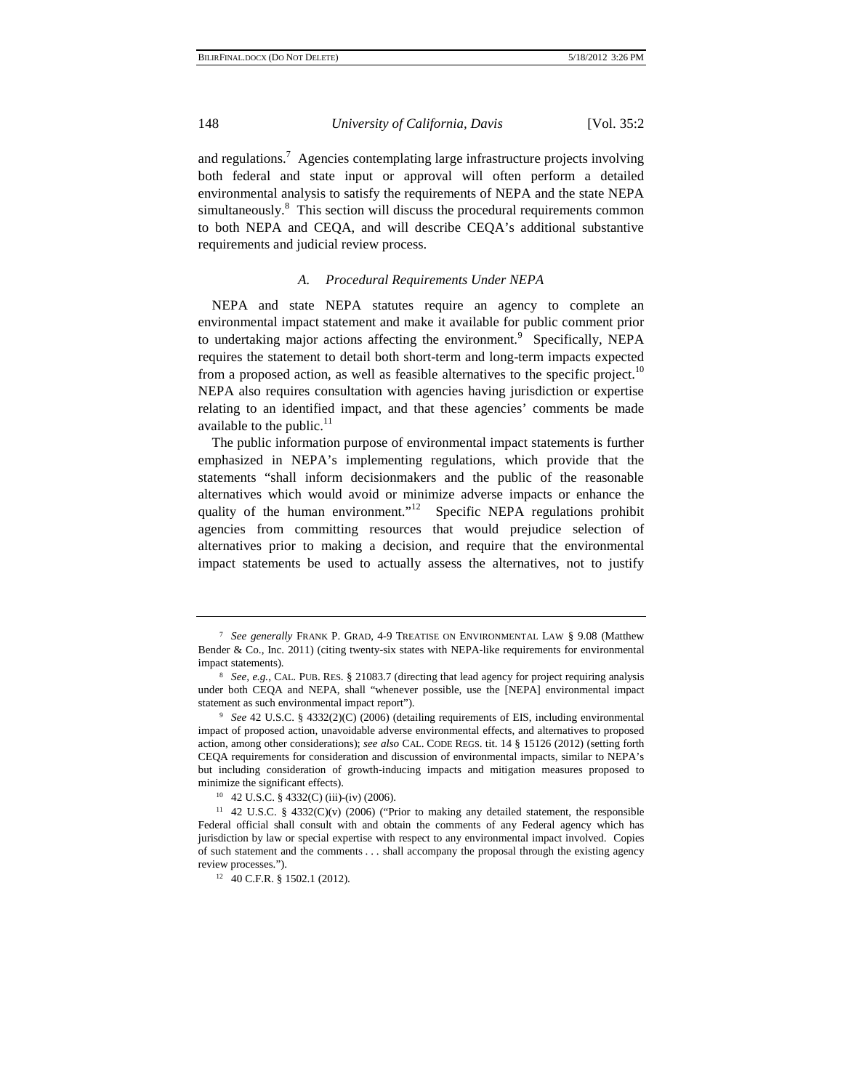and regulations.<sup>7</sup> Agencies contemplating large infrastructure projects involving both federal and state input or approval will often perform a detailed environmental analysis to satisfy the requirements of NEPA and the state NEPA simultaneously.<sup>8</sup> This section will discuss the procedural requirements common to both NEPA and CEQA, and will describe CEQA's additional substantive requirements and judicial review process.

# *A. Procedural Requirements Under NEPA*

NEPA and state NEPA statutes require an agency to complete an environmental impact statement and make it available for public comment prior to undertaking major actions affecting the environment.<sup>9</sup> Specifically, NEPA requires the statement to detail both short-term and long-term impacts expected from a proposed action, as well as feasible alternatives to the specific project.<sup>10</sup> NEPA also requires consultation with agencies having jurisdiction or expertise relating to an identified impact, and that these agencies' comments be made available to the public. $11$ 

The public information purpose of environmental impact statements is further emphasized in NEPA's implementing regulations, which provide that the statements "shall inform decisionmakers and the public of the reasonable alternatives which would avoid or minimize adverse impacts or enhance the quality of the human environment."<sup>12</sup> Specific NEPA regulations prohibit agencies from committing resources that would prejudice selection of alternatives prior to making a decision, and require that the environmental impact statements be used to actually assess the alternatives, not to justify

<sup>7</sup> *See generally* FRANK P. GRAD, 4-9 TREATISE ON ENVIRONMENTAL LAW § 9.08 (Matthew Bender & Co., Inc. 2011) (citing twenty-six states with NEPA-like requirements for environmental impact statements). 8 *See, e.g.*, CAL. PUB. RES. § 21083.7 (directing that lead agency for project requiring analysis

under both CEQA and NEPA, shall "whenever possible, use the [NEPA] environmental impact statement as such environmental impact report"). 9 *See* 42 U.S.C. § 4332(2)(C) (2006) (detailing requirements of EIS, including environmental

impact of proposed action, unavoidable adverse environmental effects, and alternatives to proposed action, among other considerations); *see also* CAL. CODE REGS. tit. 14 § 15126 (2012) (setting forth CEQA requirements for consideration and discussion of environmental impacts, similar to NEPA's but including consideration of growth-inducing impacts and mitigation measures proposed to minimize the significant effects).<br><sup>10</sup> 42 U.S.C. § 4332(C) (iii)-(iv) (2006).

<sup>11 42</sup> U.S.C. § 4332(C)(v) (2006) ("Prior to making any detailed statement, the responsible Federal official shall consult with and obtain the comments of any Federal agency which has jurisdiction by law or special expertise with respect to any environmental impact involved. Copies of such statement and the comments . . . shall accompany the proposal through the existing agency review processes.").<br><sup>12</sup> 40 C.F.R. § 1502.1 (2012).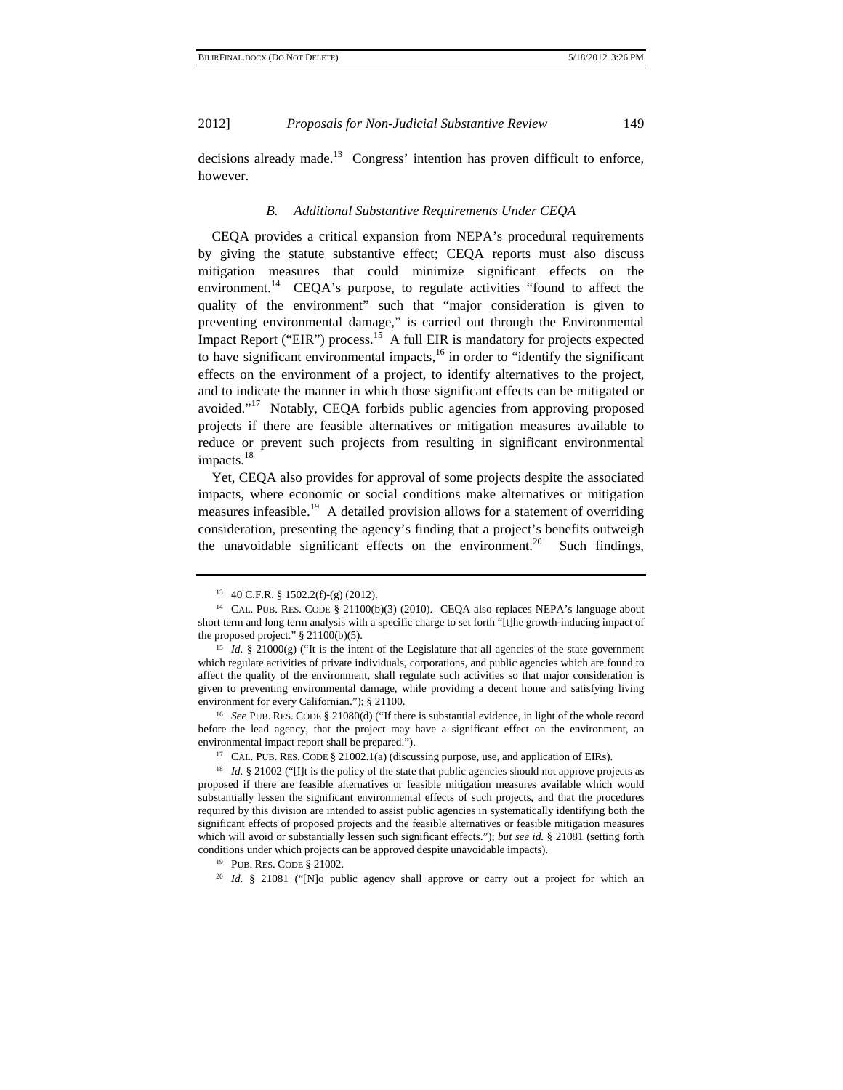decisions already made.<sup>13</sup> Congress' intention has proven difficult to enforce, however.

# *B. Additional Substantive Requirements Under CEQA*

CEQA provides a critical expansion from NEPA's procedural requirements by giving the statute substantive effect; CEQA reports must also discuss mitigation measures that could minimize significant effects on the environment.<sup>14</sup> CEQA's purpose, to regulate activities "found to affect the quality of the environment" such that "major consideration is given to preventing environmental damage," is carried out through the Environmental Impact Report ("EIR") process.<sup>15</sup> A full EIR is mandatory for projects expected to have significant environmental impacts, $16$  in order to "identify the significant effects on the environment of a project, to identify alternatives to the project, and to indicate the manner in which those significant effects can be mitigated or avoided."17 Notably, CEQA forbids public agencies from approving proposed projects if there are feasible alternatives or mitigation measures available to reduce or prevent such projects from resulting in significant environmental impacts.<sup>18</sup>

Yet, CEQA also provides for approval of some projects despite the associated impacts, where economic or social conditions make alternatives or mitigation measures infeasible.<sup>19</sup> A detailed provision allows for a statement of overriding consideration, presenting the agency's finding that a project's benefits outweigh the unavoidable significant effects on the environment.<sup>20</sup> Such findings,

<sup>13 40</sup> C.F.R. § 1502.2(f)-(g) (2012).

<sup>&</sup>lt;sup>14</sup> CAL. PUB. RES. CODE § 21100(b)(3) (2010). CEQA also replaces NEPA's language about short term and long term analysis with a specific charge to set forth "[t]he growth-inducing impact of the proposed project." § 21100(b)(5).<br><sup>15</sup> *Id.* § 21000(g) ("It is the intent of the Legislature that all agencies of the state government

which regulate activities of private individuals, corporations, and public agencies which are found to affect the quality of the environment, shall regulate such activities so that major consideration is given to preventing environmental damage, while providing a decent home and satisfying living environment for every Californian."); § 21100.

<sup>16</sup> *See* PUB. RES. CODE § 21080(d) ("If there is substantial evidence, in light of the whole record before the lead agency, that the project may have a significant effect on the environment, an

environmental impact report shall be prepared.").<br><sup>17</sup> CAL. PUB. RES. CODE § 21002.1(a) (discussing purpose, use, and application of EIRs).

<sup>&</sup>lt;sup>18</sup> *Id.* § 21002 ("[I]t is the policy of the state that public agencies should not approve projects as proposed if there are feasible alternatives or feasible mitigation measures available which would substantially lessen the significant environmental effects of such projects, and that the procedures required by this division are intended to assist public agencies in systematically identifying both the significant effects of proposed projects and the feasible alternatives or feasible mitigation measures which will avoid or substantially lessen such significant effects."); *but see id.* § 21081 (setting forth conditions under which projects can be approved despite unavoidable impacts).<br><sup>19</sup> PUB. RES. CODE § 21002.<br><sup>20</sup> *Id.* § 21081 ("[N]o public agency shall approve or carry out a project for which an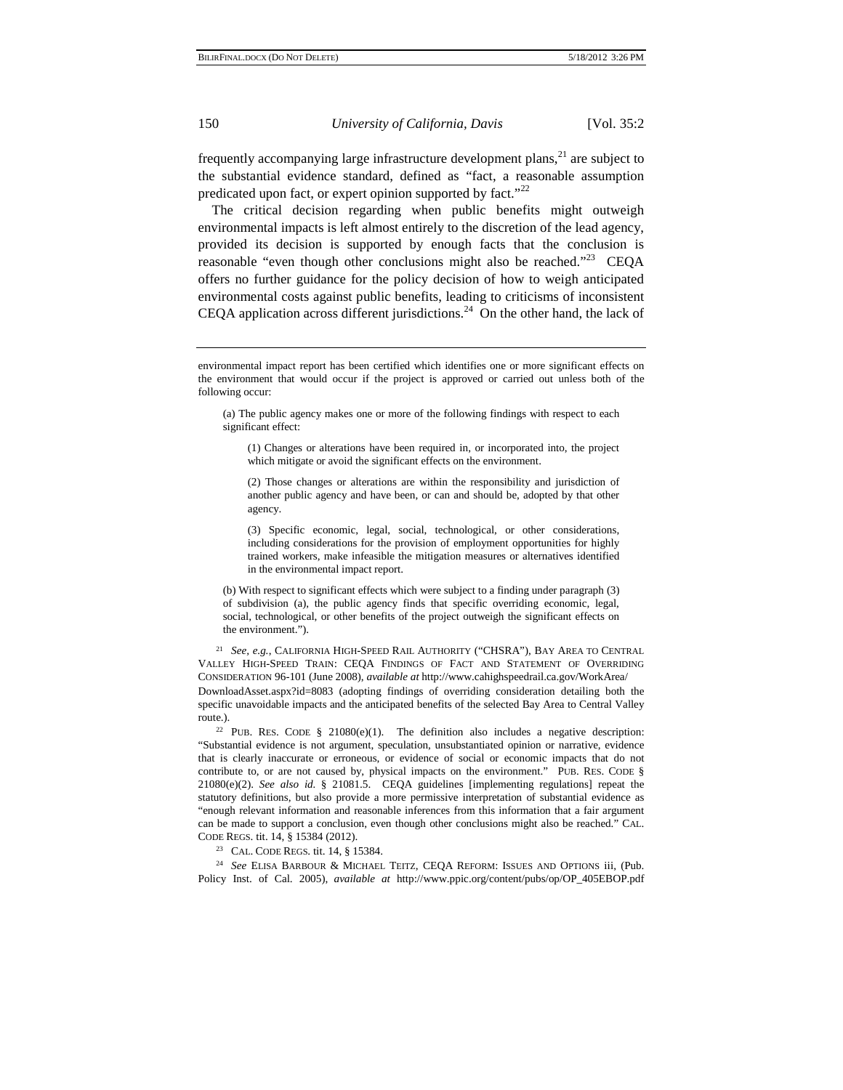frequently accompanying large infrastructure development plans, $^{21}$  are subject to the substantial evidence standard, defined as "fact, a reasonable assumption predicated upon fact, or expert opinion supported by fact."<sup>22</sup>

The critical decision regarding when public benefits might outweigh environmental impacts is left almost entirely to the discretion of the lead agency, provided its decision is supported by enough facts that the conclusion is reasonable "even though other conclusions might also be reached."<sup>23</sup> CEQA offers no further guidance for the policy decision of how to weigh anticipated environmental costs against public benefits, leading to criticisms of inconsistent CEQA application across different jurisdictions.<sup>24</sup> On the other hand, the lack of

(3) Specific economic, legal, social, technological, or other considerations, including considerations for the provision of employment opportunities for highly trained workers, make infeasible the mitigation measures or alternatives identified in the environmental impact report.

(b) With respect to significant effects which were subject to a finding under paragraph (3) of subdivision (a), the public agency finds that specific overriding economic, legal, social, technological, or other benefits of the project outweigh the significant effects on the environment.").

<sup>21</sup> *See, e.g.*, CALIFORNIA HIGH-SPEED RAIL AUTHORITY ("CHSRA"), BAY AREA TO CENTRAL VALLEY HIGH-SPEED TRAIN: CEQA FINDINGS OF FACT AND STATEMENT OF OVERRIDING CONSIDERATION 96-101 (June 2008), *available at* http://www.cahighspeedrail.ca.gov/WorkArea/ DownloadAsset.aspx?id=8083 (adopting findings of overriding consideration detailing both the specific unavoidable impacts and the anticipated benefits of the selected Bay Area to Central Valley

route.). <sup>22</sup> PUB. RES. CODE § 21080(e)(1). The definition also includes a negative description: "Substantial evidence is not argument, speculation, unsubstantiated opinion or narrative, evidence that is clearly inaccurate or erroneous, or evidence of social or economic impacts that do not contribute to, or are not caused by, physical impacts on the environment." PUB. RES. CODE § 21080(e)(2). *See also id.* § 21081.5. CEQA guidelines [implementing regulations] repeat the statutory definitions, but also provide a more permissive interpretation of substantial evidence as "enough relevant information and reasonable inferences from this information that a fair argument can be made to support a conclusion, even though other conclusions might also be reached." CAL. CODE REGS. tit. 14, § 15384 (2012). 23 CAL. CODE REGS. tit. 14, § 15384.

<sup>24</sup> *See* ELISA BARBOUR & MICHAEL TEITZ, CEQA REFORM: ISSUES AND OPTIONS iii, (Pub. Policy Inst. of Cal. 2005), *available at* http://www.ppic.org/content/pubs/op/OP\_405EBOP.pdf

environmental impact report has been certified which identifies one or more significant effects on the environment that would occur if the project is approved or carried out unless both of the following occur:

<sup>(</sup>a) The public agency makes one or more of the following findings with respect to each significant effect:

<sup>(1)</sup> Changes or alterations have been required in, or incorporated into, the project which mitigate or avoid the significant effects on the environment.

<sup>(2)</sup> Those changes or alterations are within the responsibility and jurisdiction of another public agency and have been, or can and should be, adopted by that other agency.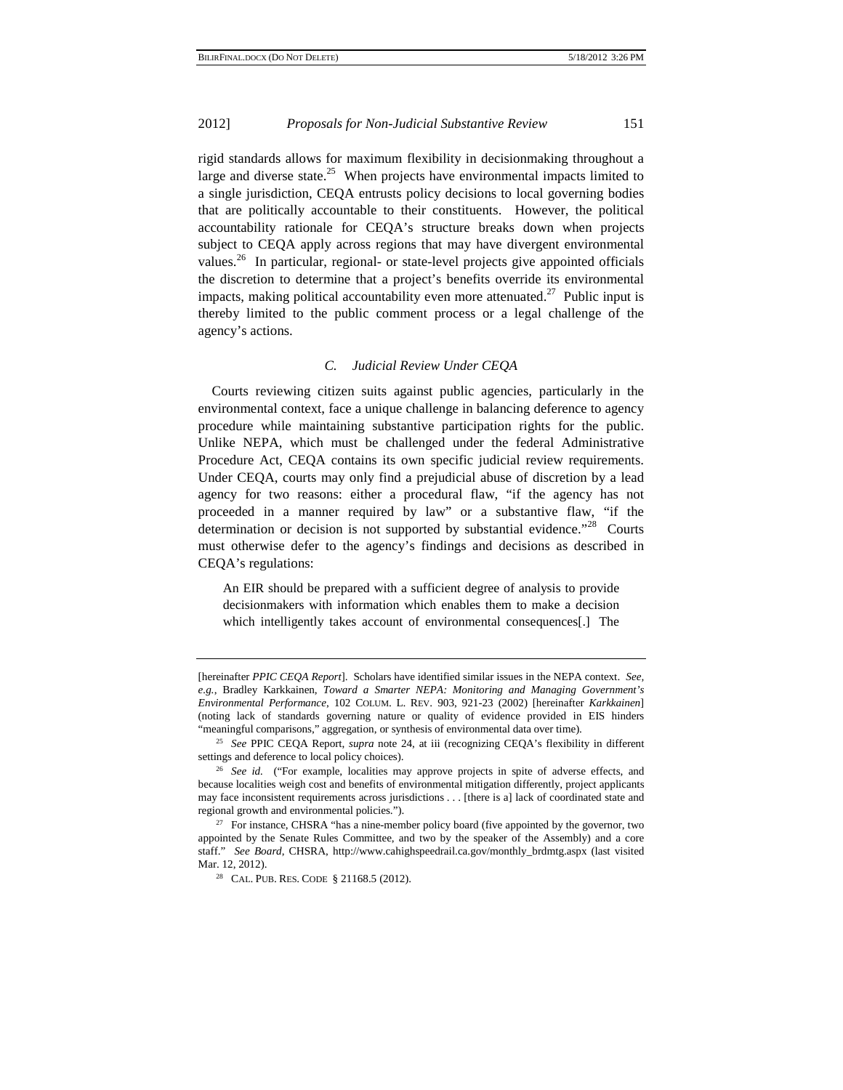rigid standards allows for maximum flexibility in decisionmaking throughout a large and diverse state.<sup>25</sup> When projects have environmental impacts limited to a single jurisdiction, CEQA entrusts policy decisions to local governing bodies that are politically accountable to their constituents. However, the political accountability rationale for CEQA's structure breaks down when projects subject to CEQA apply across regions that may have divergent environmental values.<sup>26</sup> In particular, regional- or state-level projects give appointed officials the discretion to determine that a project's benefits override its environmental impacts, making political accountability even more attenuated.<sup>27</sup> Public input is thereby limited to the public comment process or a legal challenge of the agency's actions.

#### *C. Judicial Review Under CEQA*

Courts reviewing citizen suits against public agencies, particularly in the environmental context, face a unique challenge in balancing deference to agency procedure while maintaining substantive participation rights for the public. Unlike NEPA, which must be challenged under the federal Administrative Procedure Act, CEQA contains its own specific judicial review requirements. Under CEQA, courts may only find a prejudicial abuse of discretion by a lead agency for two reasons: either a procedural flaw, "if the agency has not proceeded in a manner required by law" or a substantive flaw, "if the determination or decision is not supported by substantial evidence."<sup>28</sup> Courts must otherwise defer to the agency's findings and decisions as described in CEQA's regulations:

An EIR should be prepared with a sufficient degree of analysis to provide decisionmakers with information which enables them to make a decision which intelligently takes account of environmental consequences[.] The

<sup>[</sup>hereinafter *PPIC CEQA Report*]. Scholars have identified similar issues in the NEPA context. *See, e.g.*, Bradley Karkkainen, *Toward a Smarter NEPA: Monitoring and Managing Government's Environmental Performance*, 102 COLUM. L. REV. 903, 921-23 (2002) [hereinafter *Karkkainen*] (noting lack of standards governing nature or quality of evidence provided in EIS hinders "meaningful comparisons," aggregation, or synthesis of environmental data over time). 25 *See* PPIC CEQA Report, *supra* note 24, at iii (recognizing CEQA's flexibility in different

settings and deference to local policy choices). 26 *See id.* ("For example, localities may approve projects in spite of adverse effects, and because localities weigh cost and benefits of environmental mitigation differently, project applicants may face inconsistent requirements across jurisdictions . . . [there is a] lack of coordinated state and regional growth and environmental policies.").<br><sup>27</sup> For instance, CHSRA "has a nine-member policy board (five appointed by the governor, two

appointed by the Senate Rules Committee, and two by the speaker of the Assembly) and a core staff." *See Board*, CHSRA, http://www.cahighspeedrail.ca.gov/monthly\_brdmtg.aspx (last visited Mar. 12, 2012).<br><sup>28</sup> CAL. PUB. RES. CODE § 21168.5 (2012).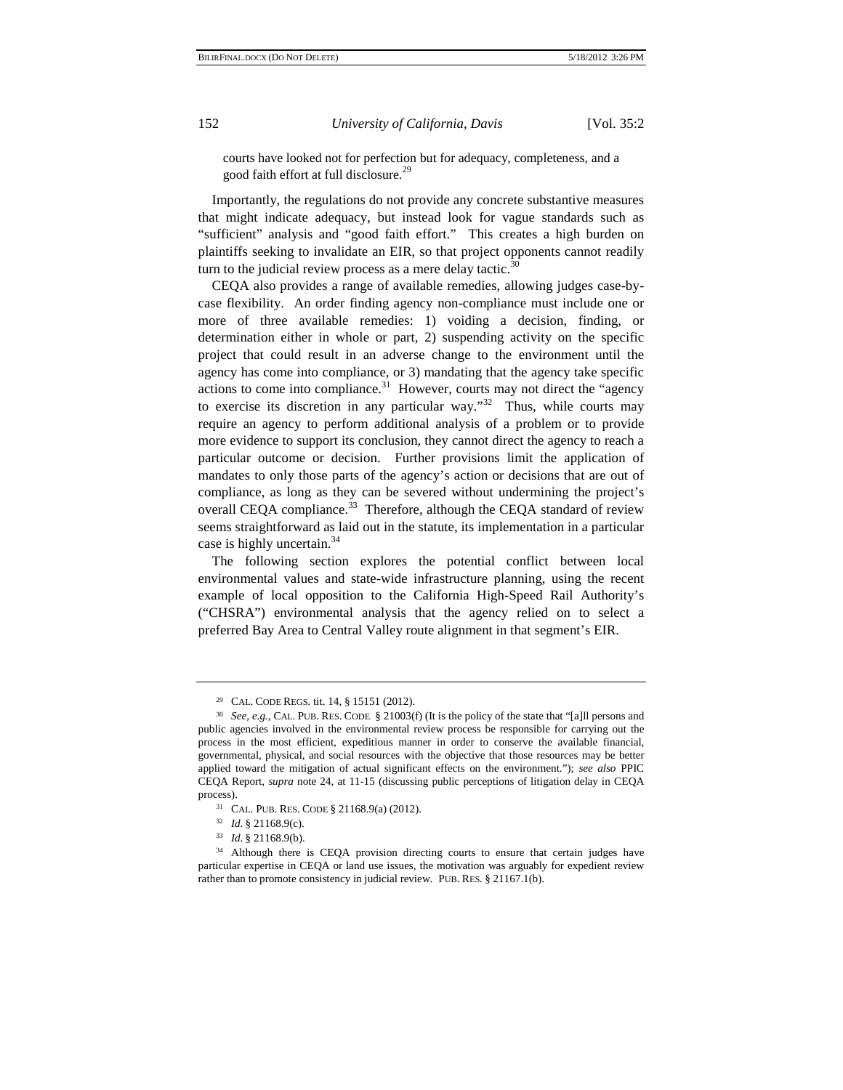courts have looked not for perfection but for adequacy, completeness, and a good faith effort at full disclosure.<sup>29</sup>

Importantly, the regulations do not provide any concrete substantive measures that might indicate adequacy, but instead look for vague standards such as "sufficient" analysis and "good faith effort." This creates a high burden on plaintiffs seeking to invalidate an EIR, so that project opponents cannot readily turn to the judicial review process as a mere delay tactic. $30$ 

CEQA also provides a range of available remedies, allowing judges case-bycase flexibility. An order finding agency non-compliance must include one or more of three available remedies: 1) voiding a decision, finding, or determination either in whole or part, 2) suspending activity on the specific project that could result in an adverse change to the environment until the agency has come into compliance, or 3) mandating that the agency take specific actions to come into compliance.<sup>31</sup> However, courts may not direct the "agency" to exercise its discretion in any particular way. $132$  Thus, while courts may require an agency to perform additional analysis of a problem or to provide more evidence to support its conclusion, they cannot direct the agency to reach a particular outcome or decision. Further provisions limit the application of mandates to only those parts of the agency's action or decisions that are out of compliance, as long as they can be severed without undermining the project's overall CEQA compliance.<sup>33</sup> Therefore, although the CEQA standard of review seems straightforward as laid out in the statute, its implementation in a particular case is highly uncertain.<sup>34</sup>

The following section explores the potential conflict between local environmental values and state-wide infrastructure planning, using the recent example of local opposition to the California High-Speed Rail Authority's ("CHSRA") environmental analysis that the agency relied on to select a preferred Bay Area to Central Valley route alignment in that segment's EIR.

<sup>29</sup> CAL. CODE REGS. tit. 14, § 15151 (2012).

<sup>30</sup> *See, e.g.*, CAL. PUB. RES. CODE § 21003(f) (It is the policy of the state that "[a]ll persons and public agencies involved in the environmental review process be responsible for carrying out the process in the most efficient, expeditious manner in order to conserve the available financial, governmental, physical, and social resources with the objective that those resources may be better applied toward the mitigation of actual significant effects on the environment."); *see also* PPIC CEQA Report, *supra* note 24, at 11-15 (discussing public perceptions of litigation delay in CEQA process).<br><sup>31</sup> CAL. PUB. RES. CODE § 21168.9(a) (2012).<br><sup>32</sup> Id. § 21168.9(c).

<sup>&</sup>lt;sup>33</sup> *Id.* § 21168.9(b).<br><sup>34</sup> Although there is CEQA provision directing courts to ensure that certain judges have particular expertise in CEQA or land use issues, the motivation was arguably for expedient review rather than to promote consistency in judicial review. PUB. RES. § 21167.1(b).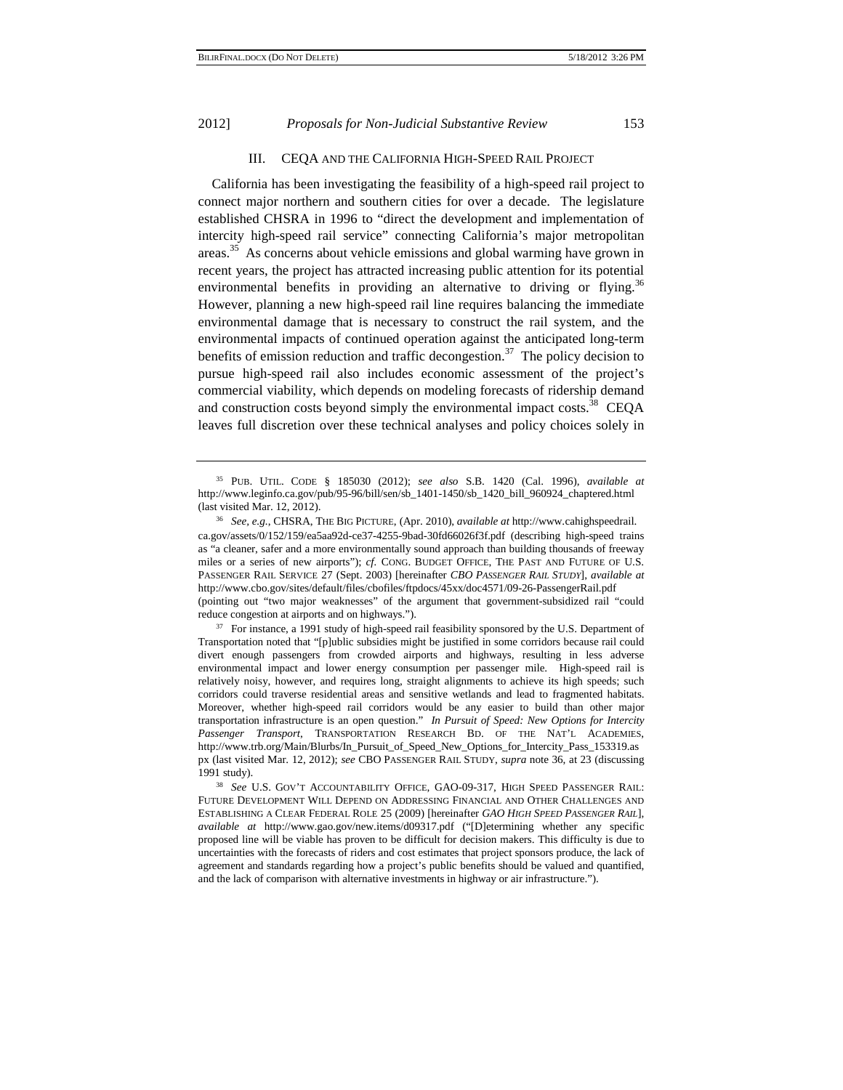# III. CEQA AND THE CALIFORNIA HIGH-SPEED RAIL PROJECT

California has been investigating the feasibility of a high-speed rail project to connect major northern and southern cities for over a decade. The legislature established CHSRA in 1996 to "direct the development and implementation of intercity high-speed rail service" connecting California's major metropolitan areas.35 As concerns about vehicle emissions and global warming have grown in recent years, the project has attracted increasing public attention for its potential environmental benefits in providing an alternative to driving or flying.<sup>36</sup> However, planning a new high-speed rail line requires balancing the immediate environmental damage that is necessary to construct the rail system, and the environmental impacts of continued operation against the anticipated long-term benefits of emission reduction and traffic decongestion.<sup>37</sup> The policy decision to pursue high-speed rail also includes economic assessment of the project's commercial viability, which depends on modeling forecasts of ridership demand and construction costs beyond simply the environmental impact costs.<sup>38</sup> CEQA leaves full discretion over these technical analyses and policy choices solely in

Transportation noted that "[p]ublic subsidies might be justified in some corridors because rail could divert enough passengers from crowded airports and highways, resulting in less adverse environmental impact and lower energy consumption per passenger mile. High-speed rail is relatively noisy, however, and requires long, straight alignments to achieve its high speeds; such corridors could traverse residential areas and sensitive wetlands and lead to fragmented habitats. Moreover, whether high-speed rail corridors would be any easier to build than other major transportation infrastructure is an open question." *In Pursuit of Speed: New Options for Intercity Passenger Transport*, TRANSPORTATION RESEARCH BD. OF THE NAT'L ACADEMIES, http://www.trb.org/Main/Blurbs/In\_Pursuit\_of\_Speed\_New\_Options\_for\_Intercity\_Pass\_153319.as px (last visited Mar. 12, 2012); *see* CBO PASSENGER RAIL STUDY, *supra* note 36, at 23 (discussing 1991 study). 38 *See* U.S. GOV'T ACCOUNTABILITY OFFICE, GAO-09-317, HIGH SPEED PASSENGER RAIL:

<sup>35</sup> PUB. UTIL. CODE § 185030 (2012); *see also* S.B. 1420 (Cal. 1996), *available at* http://www.leginfo.ca.gov/pub/95-96/bill/sen/sb\_1401-1450/sb\_1420\_bill\_960924\_chaptered.html

<sup>(</sup>last visited Mar. 12, 2012). 36 *See, e.g.*, CHSRA, THE BIG PICTURE, (Apr. 2010), *available at* http://www.cahighspeedrail. ca.gov/assets/0/152/159/ea5aa92d-ce37-4255-9bad-30fd66026f3f.pdf (describing high-speed trains as "a cleaner, safer and a more environmentally sound approach than building thousands of freeway miles or a series of new airports"); *cf.* CONG. BUDGET OFFICE, THE PAST AND FUTURE OF U.S. PASSENGER RAIL SERVICE 27 (Sept. 2003) [hereinafter *CBO PASSENGER RAIL STUDY*], *available at* http://www.cbo.gov/sites/default/files/cbofiles/ftpdocs/45xx/doc4571/09-26-PassengerRail.pdf (pointing out "two major weaknesses" of the argument that government-subsidized rail "could reduce congestion at airports and on highways.").<br><sup>37</sup> For instance, a 1991 study of high-speed rail feasibility sponsored by the U.S. Department of

FUTURE DEVELOPMENT WILL DEPEND ON ADDRESSING FINANCIAL AND OTHER CHALLENGES AND ESTABLISHING A CLEAR FEDERAL ROLE 25 (2009) [hereinafter *GAO HIGH SPEED PASSENGER RAIL*], *available at* http://www.gao.gov/new.items/d09317.pdf ("[D]etermining whether any specific proposed line will be viable has proven to be difficult for decision makers. This difficulty is due to uncertainties with the forecasts of riders and cost estimates that project sponsors produce, the lack of agreement and standards regarding how a project's public benefits should be valued and quantified, and the lack of comparison with alternative investments in highway or air infrastructure.").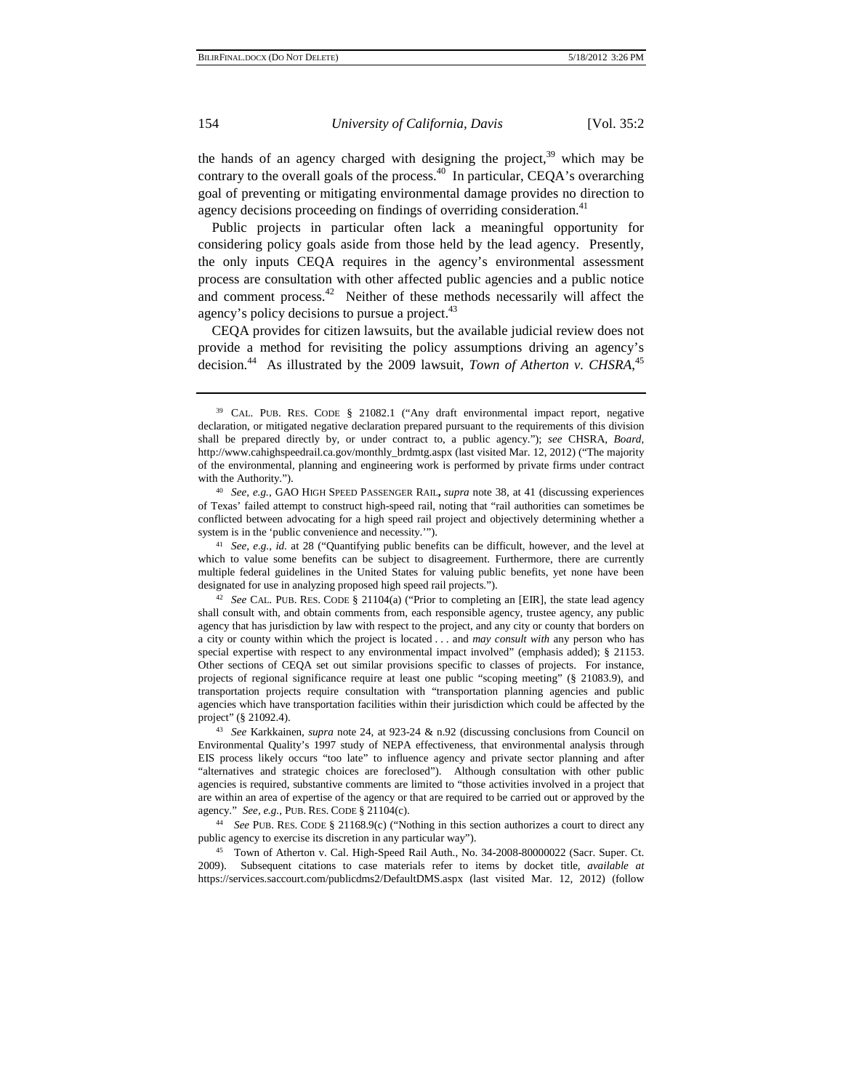the hands of an agency charged with designing the project, $39$  which may be contrary to the overall goals of the process.<sup>40</sup> In particular, CEQA's overarching goal of preventing or mitigating environmental damage provides no direction to agency decisions proceeding on findings of overriding consideration.<sup>41</sup>

Public projects in particular often lack a meaningful opportunity for considering policy goals aside from those held by the lead agency. Presently, the only inputs CEQA requires in the agency's environmental assessment process are consultation with other affected public agencies and a public notice and comment process.<sup>42</sup> Neither of these methods necessarily will affect the agency's policy decisions to pursue a project.<sup>43</sup>

CEQA provides for citizen lawsuits, but the available judicial review does not provide a method for revisiting the policy assumptions driving an agency's decision.<sup>44</sup> As illustrated by the 2009 lawsuit, *Town of Atherton v. CHSRA*,<sup>45</sup>

<sup>39</sup> CAL. PUB. RES. CODE § 21082.1 ("Any draft environmental impact report, negative declaration, or mitigated negative declaration prepared pursuant to the requirements of this division shall be prepared directly by, or under contract to, a public agency."); *see* CHSRA, *Board*, http://www.cahighspeedrail.ca.gov/monthly\_brdmtg.aspx (last visited Mar. 12, 2012) ("The majority of the environmental, planning and engineering work is performed by private firms under contract

with the Authority."). 40 *See, e.g.*, GAO HIGH SPEED PASSENGER RAIL**,** *supra* note 38, at 41 (discussing experiences of Texas' failed attempt to construct high-speed rail, noting that "rail authorities can sometimes be conflicted between advocating for a high speed rail project and objectively determining whether a system is in the 'public convenience and necessity.'").<br><sup>41</sup> *See, e.g., id.* at 28 ("Quantifying public benefits can be difficult, however, and the level at

which to value some benefits can be subject to disagreement. Furthermore, there are currently multiple federal guidelines in the United States for valuing public benefits, yet none have been designated for use in analyzing proposed high speed rail projects."). 42 *See* CAL. PUB. RES. CODE § 21104(a) ("Prior to completing an [EIR], the state lead agency

shall consult with, and obtain comments from, each responsible agency, trustee agency, any public agency that has jurisdiction by law with respect to the project, and any city or county that borders on a city or county within which the project is located . . . and *may consult with* any person who has special expertise with respect to any environmental impact involved" (emphasis added); § 21153. Other sections of CEQA set out similar provisions specific to classes of projects. For instance, projects of regional significance require at least one public "scoping meeting" (§ 21083.9), and transportation projects require consultation with "transportation planning agencies and public agencies which have transportation facilities within their jurisdiction which could be affected by the

project" (§ 21092.4). 43 *See* Karkkainen, *supra* note 24, at 923-24 & n.92 (discussing conclusions from Council on Environmental Quality's 1997 study of NEPA effectiveness, that environmental analysis through EIS process likely occurs "too late" to influence agency and private sector planning and after "alternatives and strategic choices are foreclosed"). Although consultation with other public agencies is required, substantive comments are limited to "those activities involved in a project that are within an area of expertise of the agency or that are required to be carried out or approved by the agency." *See, e.g.*, PUB. RES. CODE § 21104(c). 44 *See* PUB. RES. CODE § 21168.9(c) ("Nothing in this section authorizes a court to direct any

public agency to exercise its discretion in any particular way").

<sup>45</sup> Town of Atherton v. Cal. High-Speed Rail Auth., No. 34-2008-80000022 (Sacr. Super. Ct. 2009). Subsequent citations to case materials refer to items by docket title, *available at* https://services.saccourt.com/publicdms2/DefaultDMS.aspx (last visited Mar. 12, 2012) (follow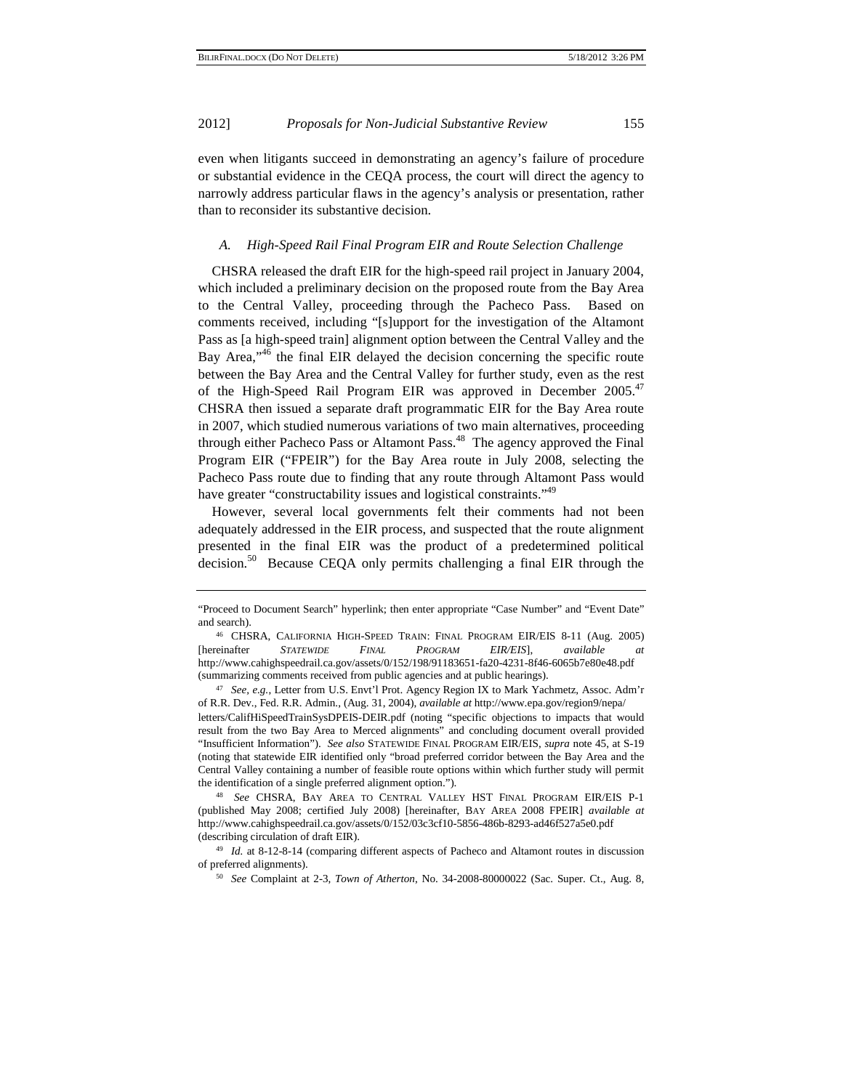even when litigants succeed in demonstrating an agency's failure of procedure or substantial evidence in the CEQA process, the court will direct the agency to narrowly address particular flaws in the agency's analysis or presentation, rather than to reconsider its substantive decision.

#### *A. High-Speed Rail Final Program EIR and Route Selection Challenge*

CHSRA released the draft EIR for the high-speed rail project in January 2004, which included a preliminary decision on the proposed route from the Bay Area to the Central Valley, proceeding through the Pacheco Pass. Based on comments received, including "[s]upport for the investigation of the Altamont Pass as [a high-speed train] alignment option between the Central Valley and the Bay Area,<sup>"46</sup> the final EIR delayed the decision concerning the specific route between the Bay Area and the Central Valley for further study, even as the rest of the High-Speed Rail Program EIR was approved in December 2005.<sup>47</sup> CHSRA then issued a separate draft programmatic EIR for the Bay Area route in 2007, which studied numerous variations of two main alternatives, proceeding through either Pacheco Pass or Altamont Pass.<sup>48</sup> The agency approved the Final Program EIR ("FPEIR") for the Bay Area route in July 2008, selecting the Pacheco Pass route due to finding that any route through Altamont Pass would have greater "constructability issues and logistical constraints."<sup>49</sup>

However, several local governments felt their comments had not been adequately addressed in the EIR process, and suspected that the route alignment presented in the final EIR was the product of a predetermined political decision.<sup>50</sup> Because CEQA only permits challenging a final EIR through the

<sup>&</sup>quot;Proceed to Document Search" hyperlink; then enter appropriate "Case Number" and "Event Date" and search). 46 CHSRA, CALIFORNIA HIGH-SPEED TRAIN: FINAL PROGRAM EIR/EIS 8-11 (Aug. 2005)

<sup>[</sup>hereinafter *STATEWIDE FINAL PROGRAM EIR/EIS*], *available at*  http://www.cahighspeedrail.ca.gov/assets/0/152/198/91183651-fa20-4231-8f46-6065b7e80e48.pdf (summarizing comments received from public agencies and at public hearings). 47 *See, e.g.*, Letter from U.S. Envt'l Prot. Agency Region IX to Mark Yachmetz, Assoc. Adm'r

of R.R. Dev., Fed. R.R. Admin., (Aug. 31, 2004), *available at* http://www.epa.gov/region9/nepa/

letters/CalifHiSpeedTrainSysDPEIS-DEIR.pdf (noting "specific objections to impacts that would result from the two Bay Area to Merced alignments" and concluding document overall provided "Insufficient Information"). *See also* STATEWIDE FINAL PROGRAM EIR/EIS, *supra* note 45, at S-19 (noting that statewide EIR identified only "broad preferred corridor between the Bay Area and the Central Valley containing a number of feasible route options within which further study will permit the identification of a single preferred alignment option."). 48 *See* CHSRA, BAY AREA TO CENTRAL VALLEY HST FINAL PROGRAM EIR/EIS P-1

<sup>(</sup>published May 2008; certified July 2008) [hereinafter, BAY AREA 2008 FPEIR] *available at*  http://www.cahighspeedrail.ca.gov/assets/0/152/03c3cf10-5856-486b-8293-ad46f527a5e0.pdf

<sup>(</sup>describing circulation of draft EIR). 49 *Id.* at 8-12-8-14 (comparing different aspects of Pacheco and Altamont routes in discussion of preferred alignments). 50 *See* Complaint at 2-3, *Town of Atherton*, No. 34-2008-80000022 (Sac. Super. Ct., Aug. 8,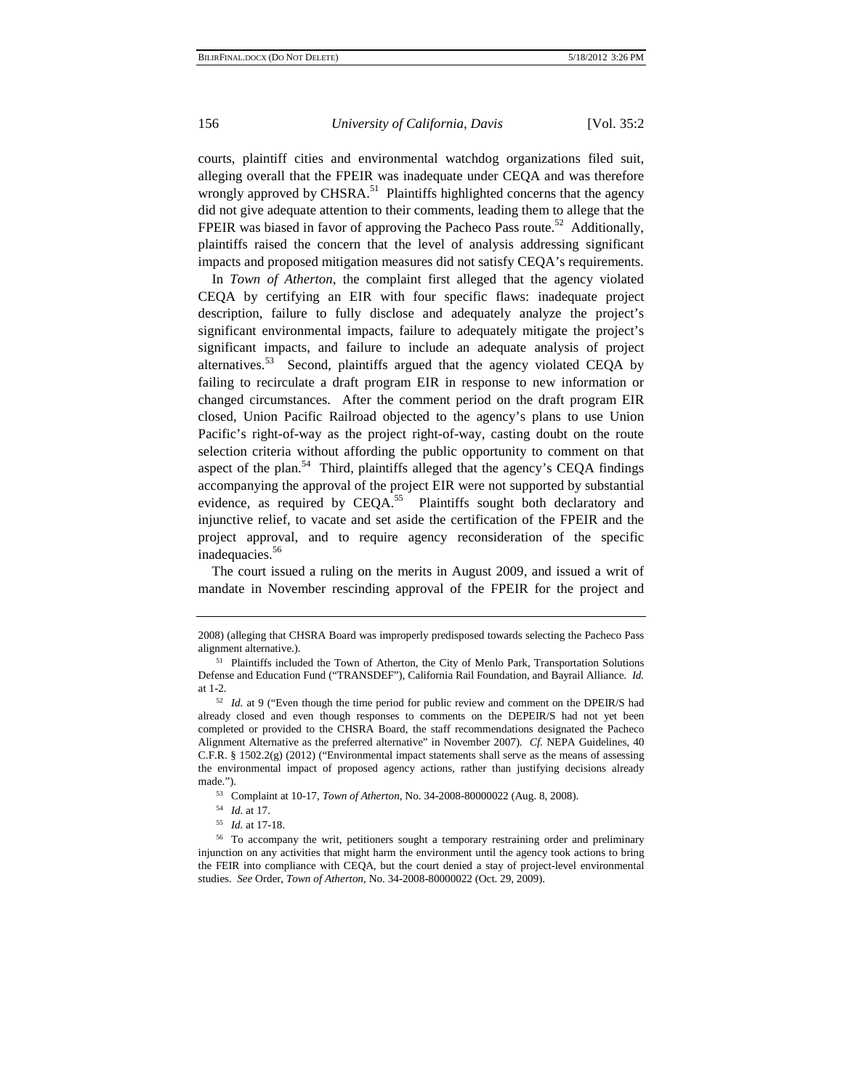courts, plaintiff cities and environmental watchdog organizations filed suit, alleging overall that the FPEIR was inadequate under CEQA and was therefore wrongly approved by CHSRA.<sup>51</sup> Plaintiffs highlighted concerns that the agency did not give adequate attention to their comments, leading them to allege that the FPEIR was biased in favor of approving the Pacheco Pass route.<sup>52</sup> Additionally, plaintiffs raised the concern that the level of analysis addressing significant impacts and proposed mitigation measures did not satisfy CEQA's requirements.

In *Town of Atherton*, the complaint first alleged that the agency violated CEQA by certifying an EIR with four specific flaws: inadequate project description, failure to fully disclose and adequately analyze the project's significant environmental impacts, failure to adequately mitigate the project's significant impacts, and failure to include an adequate analysis of project alternatives. $53$  Second, plaintiffs argued that the agency violated CEQA by failing to recirculate a draft program EIR in response to new information or changed circumstances. After the comment period on the draft program EIR closed, Union Pacific Railroad objected to the agency's plans to use Union Pacific's right-of-way as the project right-of-way, casting doubt on the route selection criteria without affording the public opportunity to comment on that aspect of the plan.<sup>54</sup> Third, plaintiffs alleged that the agency's CEQA findings accompanying the approval of the project EIR were not supported by substantial evidence, as required by CEQA.<sup>55</sup> Plaintiffs sought both declaratory and injunctive relief, to vacate and set aside the certification of the FPEIR and the project approval, and to require agency reconsideration of the specific inadequacies.<sup>56</sup>

The court issued a ruling on the merits in August 2009, and issued a writ of mandate in November rescinding approval of the FPEIR for the project and

<sup>2008) (</sup>alleging that CHSRA Board was improperly predisposed towards selecting the Pacheco Pass alignment alternative.).

<sup>51</sup> Plaintiffs included the Town of Atherton, the City of Menlo Park, Transportation Solutions Defense and Education Fund ("TRANSDEF"), California Rail Foundation, and Bayrail Alliance. *Id.*

at 1-2. 52 *Id.* at 9 ("Even though the time period for public review and comment on the DPEIR/S had already closed and even though responses to comments on the DEPEIR/S had not yet been completed or provided to the CHSRA Board, the staff recommendations designated the Pacheco Alignment Alternative as the preferred alternative" in November 2007). *Cf.* NEPA Guidelines, 40 C.F.R.  $\S$  1502.2(g) (2012) ("Environmental impact statements shall serve as the means of assessing the environmental impact of proposed agency actions, rather than justifying decisions already made.").<br>
<sup>53</sup> Complaint at 10-17, *Town of Atherton*, No. 34-2008-80000022 (Aug. 8, 2008).<br>
<sup>54</sup> *Id.* at 17.<br>
<sup>55</sup> *Id.* at 17-18.<br>
<sup>56</sup> To accompany the writ, petitioners sought a temporary restraining order and prelim

injunction on any activities that might harm the environment until the agency took actions to bring the FEIR into compliance with CEQA, but the court denied a stay of project-level environmental studies. *See* Order, *Town of Atherton*, No. 34-2008-80000022 (Oct. 29, 2009).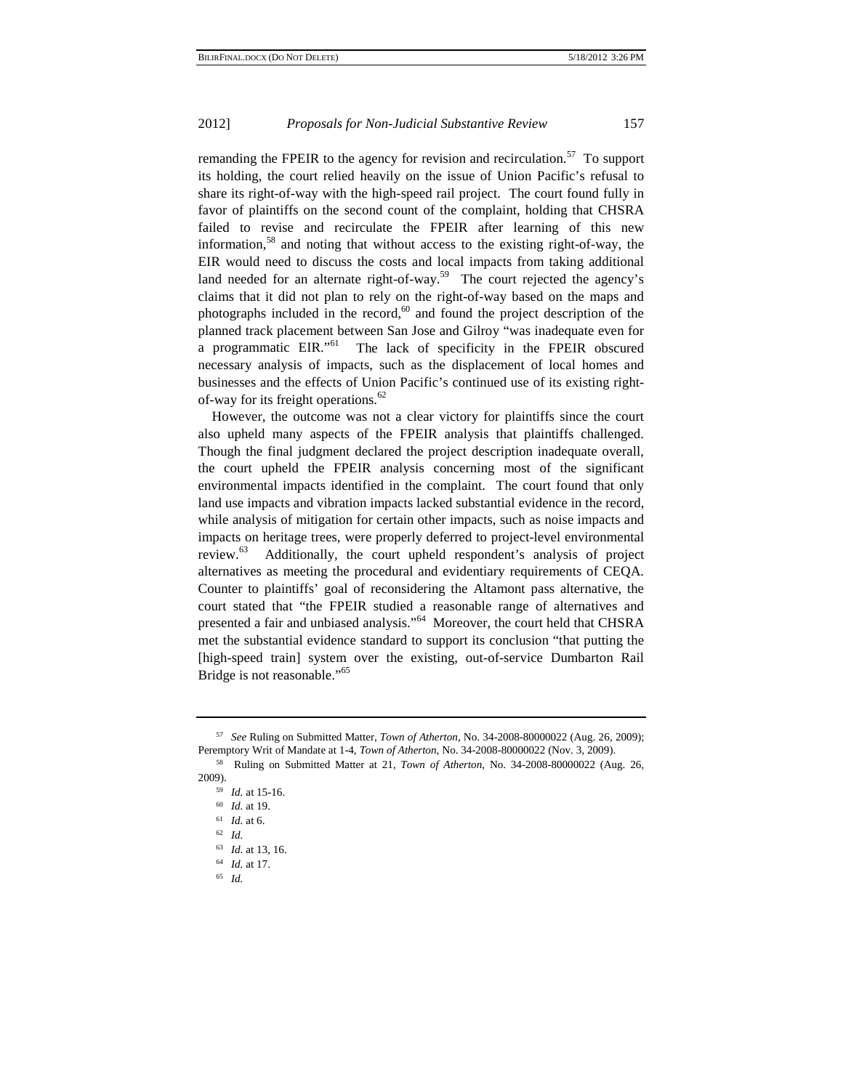remanding the FPEIR to the agency for revision and recirculation.<sup>57</sup> To support its holding, the court relied heavily on the issue of Union Pacific's refusal to share its right-of-way with the high-speed rail project. The court found fully in favor of plaintiffs on the second count of the complaint, holding that CHSRA failed to revise and recirculate the FPEIR after learning of this new information,<sup>58</sup> and noting that without access to the existing right-of-way, the EIR would need to discuss the costs and local impacts from taking additional land needed for an alternate right-of-way.<sup>59</sup> The court rejected the agency's claims that it did not plan to rely on the right-of-way based on the maps and photographs included in the record, $60$  and found the project description of the planned track placement between San Jose and Gilroy "was inadequate even for a programmatic EIR."<sup>61</sup> The lack of specificity in the FPEIR obscured necessary analysis of impacts, such as the displacement of local homes and businesses and the effects of Union Pacific's continued use of its existing rightof-way for its freight operations.<sup>62</sup>

However, the outcome was not a clear victory for plaintiffs since the court also upheld many aspects of the FPEIR analysis that plaintiffs challenged. Though the final judgment declared the project description inadequate overall, the court upheld the FPEIR analysis concerning most of the significant environmental impacts identified in the complaint. The court found that only land use impacts and vibration impacts lacked substantial evidence in the record, while analysis of mitigation for certain other impacts, such as noise impacts and impacts on heritage trees, were properly deferred to project-level environmental review.63 Additionally, the court upheld respondent's analysis of project alternatives as meeting the procedural and evidentiary requirements of CEQA. Counter to plaintiffs' goal of reconsidering the Altamont pass alternative, the court stated that "the FPEIR studied a reasonable range of alternatives and presented a fair and unbiased analysis."64 Moreover, the court held that CHSRA met the substantial evidence standard to support its conclusion "that putting the [high-speed train] system over the existing, out-of-service Dumbarton Rail Bridge is not reasonable."<sup>65</sup>

<sup>57</sup> *See* Ruling on Submitted Matter, *Town of Atherton*, No. 34-2008-80000022 (Aug. 26, 2009);

<sup>&</sup>lt;sup>58</sup> Ruling on Submitted Matter at 21, *Town of Atherton*, No. 34-2008-80000022 (Aug. 26, 2009). 59 *Id.* at 15-16. 60 *Id.* at 19. 61 *Id.* at 6. 62 *Id.*

<sup>63</sup> *Id.* at 13, 16. 64 *Id.* at 17. 65 *Id.*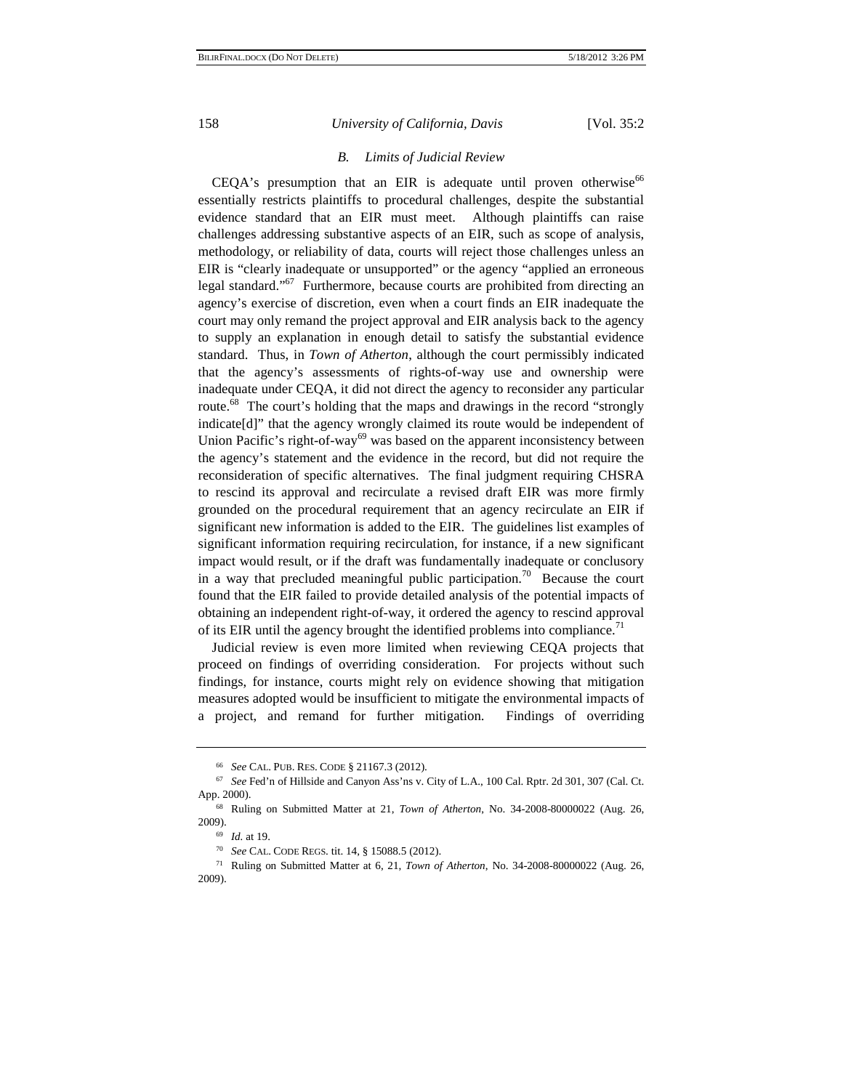# *B. Limits of Judicial Review*

 $CEQA's$  presumption that an EIR is adequate until proven otherwise<sup>66</sup> essentially restricts plaintiffs to procedural challenges, despite the substantial evidence standard that an EIR must meet. Although plaintiffs can raise challenges addressing substantive aspects of an EIR, such as scope of analysis, methodology, or reliability of data, courts will reject those challenges unless an EIR is "clearly inadequate or unsupported" or the agency "applied an erroneous legal standard."<sup>67</sup> Furthermore, because courts are prohibited from directing an agency's exercise of discretion, even when a court finds an EIR inadequate the court may only remand the project approval and EIR analysis back to the agency to supply an explanation in enough detail to satisfy the substantial evidence standard. Thus, in *Town of Atherton*, although the court permissibly indicated that the agency's assessments of rights-of-way use and ownership were inadequate under CEQA, it did not direct the agency to reconsider any particular route.<sup>68</sup> The court's holding that the maps and drawings in the record "strongly indicate[d]" that the agency wrongly claimed its route would be independent of Union Pacific's right-of-way<sup>69</sup> was based on the apparent inconsistency between the agency's statement and the evidence in the record, but did not require the reconsideration of specific alternatives. The final judgment requiring CHSRA to rescind its approval and recirculate a revised draft EIR was more firmly grounded on the procedural requirement that an agency recirculate an EIR if significant new information is added to the EIR. The guidelines list examples of significant information requiring recirculation, for instance, if a new significant impact would result, or if the draft was fundamentally inadequate or conclusory in a way that precluded meaningful public participation.<sup>70</sup> Because the court found that the EIR failed to provide detailed analysis of the potential impacts of obtaining an independent right-of-way, it ordered the agency to rescind approval of its EIR until the agency brought the identified problems into compliance.<sup>71</sup>

Judicial review is even more limited when reviewing CEQA projects that proceed on findings of overriding consideration. For projects without such findings, for instance, courts might rely on evidence showing that mitigation measures adopted would be insufficient to mitigate the environmental impacts of a project, and remand for further mitigation. Findings of overriding

<sup>66</sup> *See* CAL. PUB. RES. CODE § 21167.3 (2012). 67 *See* Fed'n of Hillside and Canyon Ass'ns v. City of L.A., 100 Cal. Rptr. 2d 301, 307 (Cal. Ct.

App. 2000).<br><sup>68</sup> Ruling on Submitted Matter at 21, *Town of Atherton*, No. 34-2008-80000022 (Aug. 26, 2009).

<sup>&</sup>lt;sup>69</sup> *Id.* at 19.<br><sup>70</sup> *See* CAL. CODE REGS. tit. 14, § 15088.5 (2012).

<sup>71</sup> Ruling on Submitted Matter at 6, 21, *Town of Atherton*, No. 34-2008-80000022 (Aug. 26, 2009).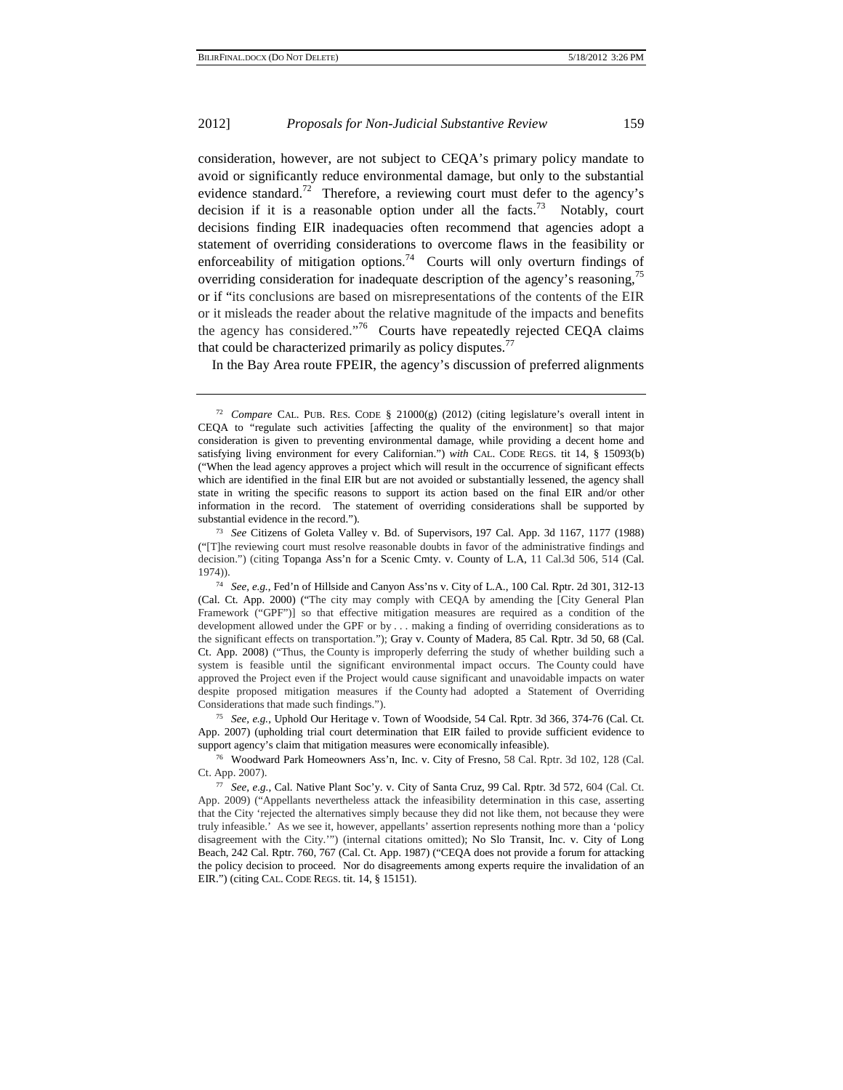consideration, however, are not subject to CEQA's primary policy mandate to avoid or significantly reduce environmental damage, but only to the substantial evidence standard.<sup>72</sup> Therefore, a reviewing court must defer to the agency's decision if it is a reasonable option under all the facts.<sup>73</sup> Notably, court decisions finding EIR inadequacies often recommend that agencies adopt a statement of overriding considerations to overcome flaws in the feasibility or enforceability of mitigation options.<sup>74</sup> Courts will only overturn findings of overriding consideration for inadequate description of the agency's reasoning,<sup>75</sup> or if "its conclusions are based on misrepresentations of the contents of the EIR or it misleads the reader about the relative magnitude of the impacts and benefits the agency has considered."<sup>76</sup> Courts have repeatedly rejected CEQA claims that could be characterized primarily as policy disputes.<sup>7</sup>

In the Bay Area route FPEIR, the agency's discussion of preferred alignments

<sup>75</sup> *See, e.g.*, Uphold Our Heritage v. Town of Woodside, 54 Cal. Rptr. 3d 366, 374-76 (Cal. Ct. App. 2007) (upholding trial court determination that EIR failed to provide sufficient evidence to

<sup>&</sup>lt;sup>72</sup> *Compare* CAL. PUB. RES. CODE § 21000(g) (2012) (citing legislature's overall intent in CEQA to "regulate such activities [affecting the quality of the environment] so that major consideration is given to preventing environmental damage, while providing a decent home and satisfying living environment for every Californian.") *with* CAL. CODE REGS. tit 14, § 15093(b) ("When the lead agency approves a project which will result in the occurrence of significant effects which are identified in the final EIR but are not avoided or substantially lessened, the agency shall state in writing the specific reasons to support its action based on the final EIR and/or other information in the record. The statement of overriding considerations shall be supported by substantial evidence in the record."). 73 *See* Citizens of Goleta Valley v. Bd. of Supervisors, 197 Cal. App. 3d 1167, 1177 (1988)

<sup>(&</sup>quot;[T]he reviewing court must resolve reasonable doubts in favor of the administrative findings and decision.") (citing Topanga Ass'n for a Scenic Cmty. v. County of L.A, 11 Cal.3d 506, 514 (Cal. 1974)).

<sup>74</sup> *See, e.g.*, Fed'n of Hillside and Canyon Ass'ns v. City of L.A., 100 Cal. Rptr. 2d 301, 312-13 (Cal. Ct. App. 2000) ("The city may comply with CEQA by amending the [City General Plan Framework ("GPF")] so that effective mitigation measures are required as a condition of the development allowed under the GPF or by . . . making a finding of overriding considerations as to the significant effects on transportation."); Gray v. County of Madera, 85 Cal. Rptr. 3d 50, 68 (Cal. Ct. App. 2008) ("Thus, the County is improperly deferring the study of whether building such a system is feasible until the significant environmental impact occurs. The County could have approved the Project even if the Project would cause significant and unavoidable impacts on water despite proposed mitigation measures if the County had adopted a Statement of Overriding Considerations that made such findings.").

support agency's claim that mitigation measures were economically infeasible).<br><sup>76</sup> Woodward Park Homeowners Ass'n, Inc. v. City of Fresno, 58 Cal. Rptr. 3d 102, 128 (Cal. Ct. App. 2007).

<sup>77</sup> *See, e.g.*, Cal. Native Plant Soc'y. v. City of Santa Cruz, 99 Cal. Rptr. 3d 572, 604 (Cal. Ct. App. 2009) ("Appellants nevertheless attack the infeasibility determination in this case, asserting that the City 'rejected the alternatives simply because they did not like them, not because they were truly infeasible.' As we see it, however, appellants' assertion represents nothing more than a 'policy disagreement with the City.'") (internal citations omitted); No Slo Transit, Inc. v. City of Long Beach, 242 Cal. Rptr. 760, 767 (Cal. Ct. App. 1987) ("CEQA does not provide a forum for attacking the policy decision to proceed. Nor do disagreements among experts require the invalidation of an EIR.") (citing CAL. CODE REGS. tit. 14, § 15151).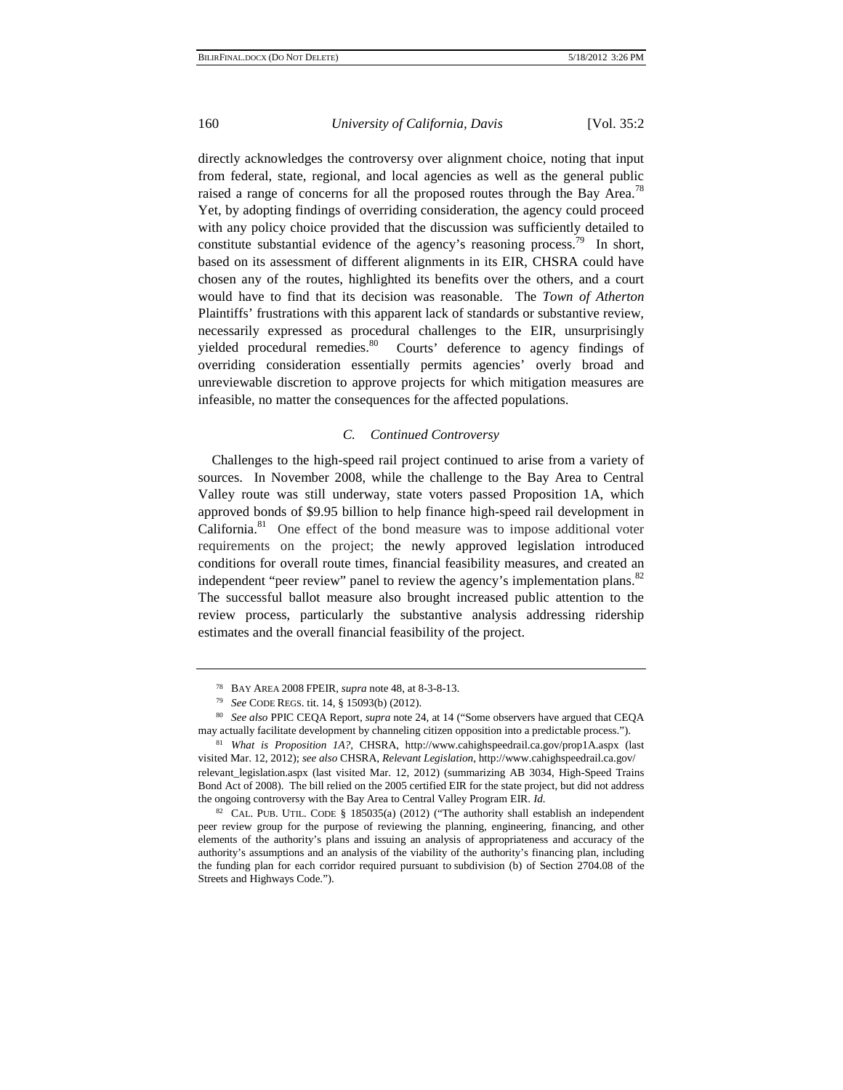directly acknowledges the controversy over alignment choice, noting that input from federal, state, regional, and local agencies as well as the general public raised a range of concerns for all the proposed routes through the Bay Area.<sup>78</sup> Yet, by adopting findings of overriding consideration, the agency could proceed with any policy choice provided that the discussion was sufficiently detailed to constitute substantial evidence of the agency's reasoning process.<sup>79</sup> In short, based on its assessment of different alignments in its EIR, CHSRA could have chosen any of the routes, highlighted its benefits over the others, and a court would have to find that its decision was reasonable. The *Town of Atherton* Plaintiffs' frustrations with this apparent lack of standards or substantive review, necessarily expressed as procedural challenges to the EIR, unsurprisingly yielded procedural remedies.<sup>80</sup> Courts' deference to agency findings of overriding consideration essentially permits agencies' overly broad and unreviewable discretion to approve projects for which mitigation measures are infeasible, no matter the consequences for the affected populations.

#### *C. Continued Controversy*

Challenges to the high-speed rail project continued to arise from a variety of sources. In November 2008, while the challenge to the Bay Area to Central Valley route was still underway, state voters passed Proposition 1A, which approved bonds of \$9.95 billion to help finance high-speed rail development in California.<sup>81</sup> One effect of the bond measure was to impose additional voter requirements on the project; the newly approved legislation introduced conditions for overall route times, financial feasibility measures, and created an independent "peer review" panel to review the agency's implementation plans.<sup>82</sup> The successful ballot measure also brought increased public attention to the review process, particularly the substantive analysis addressing ridership estimates and the overall financial feasibility of the project.

<sup>78</sup> BAY AREA 2008 FPEIR, *supra* note 48, at 8-3-8-13. 79 *See* CODE REGS. tit. 14, § 15093(b) (2012).

<sup>80</sup> *See also* PPIC CEQA Report, *supra* note 24, at 14 ("Some observers have argued that CEQA may actually facilitate development by channeling citizen opposition into a predictable process.").

<sup>81</sup> *What is Proposition 1A?*, CHSRA, http://www.cahighspeedrail.ca.gov/prop1A.aspx (last visited Mar. 12, 2012); *see also* CHSRA, *Relevant Legislation*, http://www.cahighspeedrail.ca.gov/ relevant\_legislation.aspx (last visited Mar. 12, 2012) (summarizing AB 3034, High-Speed Trains Bond Act of 2008). The bill relied on the 2005 certified EIR for the state project, but did not address the ongoing controversy with the Bay Area to Central Valley Program EIR. *Id.*

<sup>&</sup>lt;sup>82</sup> CAL. PUB. UTIL. CODE § 185035(a) (2012) ("The authority shall establish an independent peer review group for the purpose of reviewing the planning, engineering, financing, and other elements of the authority's plans and issuing an analysis of appropriateness and accuracy of the authority's assumptions and an analysis of the viability of the authority's financing plan, including the funding plan for each corridor required pursuant to subdivision (b) of Section 2704.08 of the Streets and Highways Code.").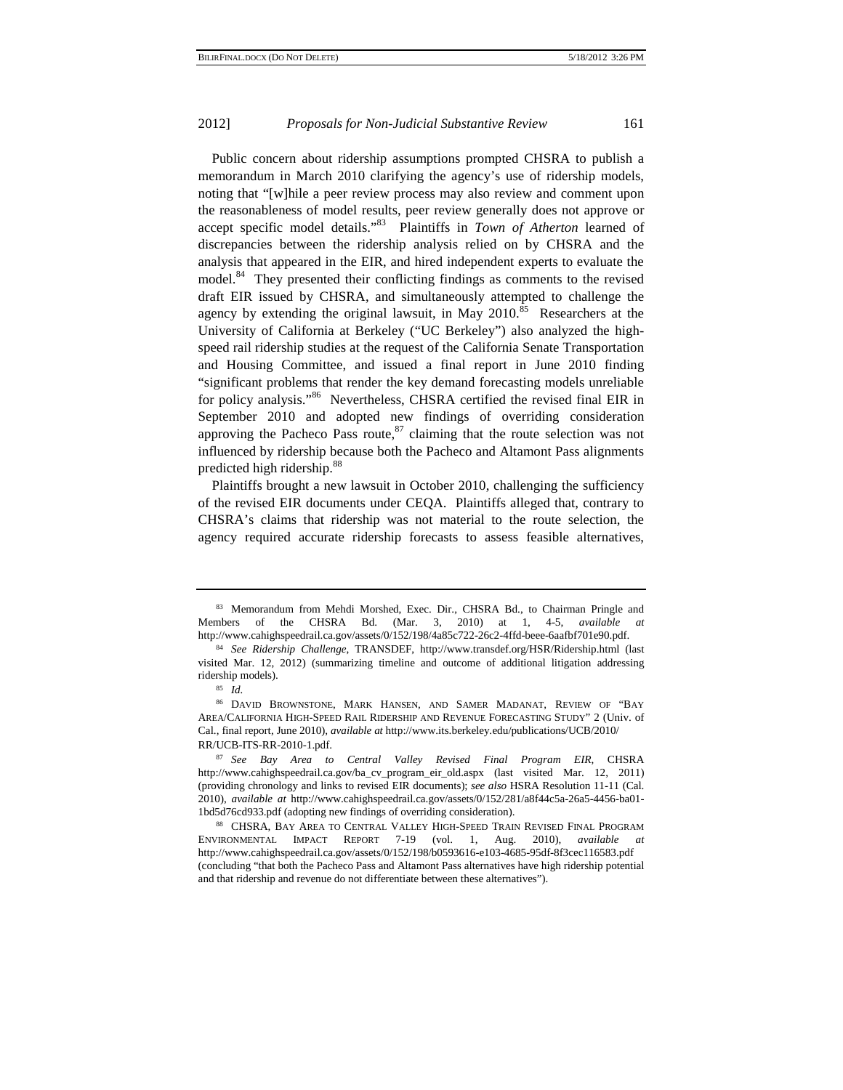Public concern about ridership assumptions prompted CHSRA to publish a memorandum in March 2010 clarifying the agency's use of ridership models, noting that "[w]hile a peer review process may also review and comment upon the reasonableness of model results, peer review generally does not approve or accept specific model details."83 Plaintiffs in *Town of Atherton* learned of discrepancies between the ridership analysis relied on by CHSRA and the analysis that appeared in the EIR, and hired independent experts to evaluate the model.<sup>84</sup> They presented their conflicting findings as comments to the revised draft EIR issued by CHSRA, and simultaneously attempted to challenge the agency by extending the original lawsuit, in May  $2010$ <sup>85</sup> Researchers at the University of California at Berkeley ("UC Berkeley") also analyzed the highspeed rail ridership studies at the request of the California Senate Transportation and Housing Committee, and issued a final report in June 2010 finding "significant problems that render the key demand forecasting models unreliable for policy analysis."<sup>86</sup> Nevertheless, CHSRA certified the revised final EIR in September 2010 and adopted new findings of overriding consideration approving the Pacheco Pass route, $87$  claiming that the route selection was not influenced by ridership because both the Pacheco and Altamont Pass alignments predicted high ridership.<sup>88</sup>

Plaintiffs brought a new lawsuit in October 2010, challenging the sufficiency of the revised EIR documents under CEQA. Plaintiffs alleged that, contrary to CHSRA's claims that ridership was not material to the route selection, the agency required accurate ridership forecasts to assess feasible alternatives,

<sup>83</sup> Memorandum from Mehdi Morshed, Exec. Dir., CHSRA Bd., to Chairman Pringle and Members of the CHSRA Bd. (Mar. 3, 2010) at 1, 4-5, *available at* http://www.cahighspeedrail.ca.gov/assets/0/152/198/4a85c722-26c2-4ffd-beee-6aafbf701e90.pdf. 84 *See Ridership Challenge*, TRANSDEF, http://www.transdef.org/HSR/Ridership.html (last

visited Mar. 12, 2012) (summarizing timeline and outcome of additional litigation addressing ridership models). 85 *Id.*

<sup>86</sup> DAVID BROWNSTONE, MARK HANSEN, AND SAMER MADANAT, REVIEW OF "BAY AREA/CALIFORNIA HIGH-SPEED RAIL RIDERSHIP AND REVENUE FORECASTING STUDY" 2 (Univ. of Cal., final report, June 2010), *available at* http://www.its.berkeley.edu/publications/UCB/2010/ RR/UCB-ITS-RR-2010-1.pdf. 87 *See Bay Area to Central Valley Revised Final Program EIR*, CHSRA

http://www.cahighspeedrail.ca.gov/ba\_cv\_program\_eir\_old.aspx (last visited Mar. 12, 2011) (providing chronology and links to revised EIR documents); *see also* HSRA Resolution 11-11 (Cal. 2010), *available at* http://www.cahighspeedrail.ca.gov/assets/0/152/281/a8f44c5a-26a5-4456-ba01- 1bd5d76cd933.pdf (adopting new findings of overriding consideration). 88 CHSRA, BAY AREA TO CENTRAL VALLEY HIGH-SPEED TRAIN REVISED FINAL PROGRAM

ENVIRONMENTAL IMPACT REPORT 7-19 (vol. 1, Aug. 2010), *available at*  http://www.cahighspeedrail.ca.gov/assets/0/152/198/b0593616-e103-4685-95df-8f3cec116583.pdf (concluding "that both the Pacheco Pass and Altamont Pass alternatives have high ridership potential and that ridership and revenue do not differentiate between these alternatives").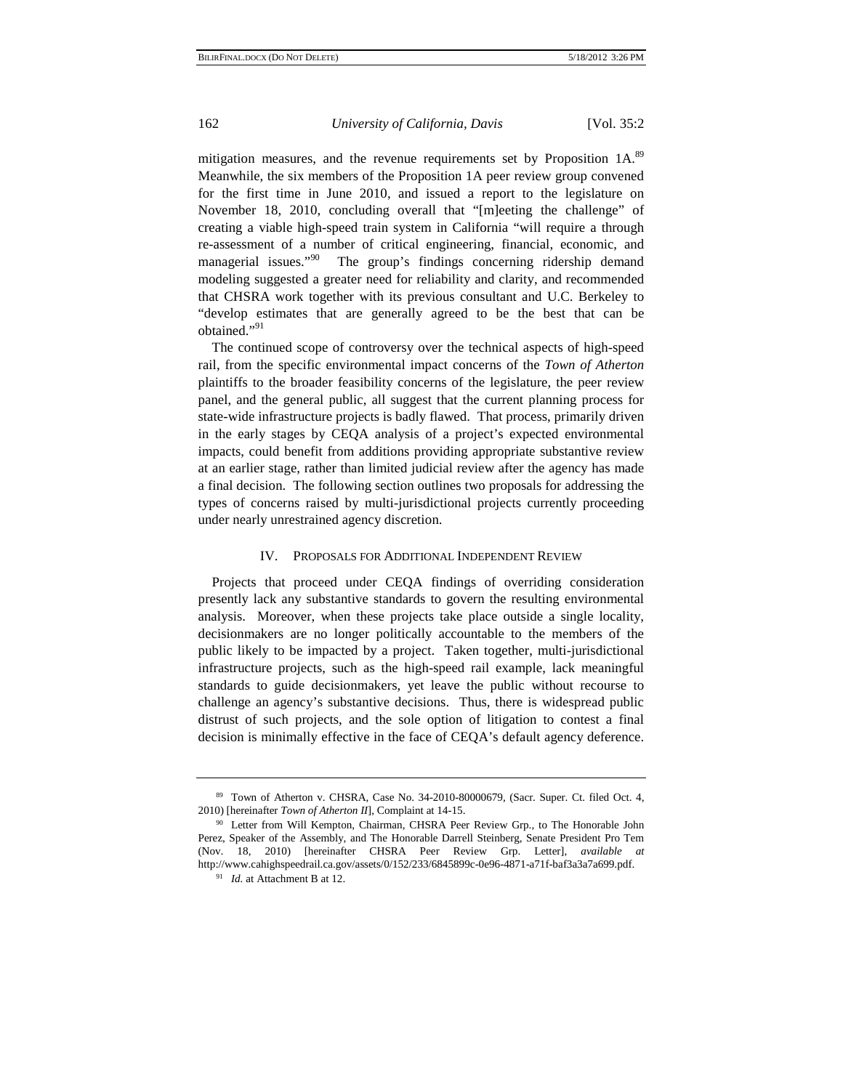mitigation measures, and the revenue requirements set by Proposition 1A.<sup>89</sup> Meanwhile, the six members of the Proposition 1A peer review group convened for the first time in June 2010, and issued a report to the legislature on November 18, 2010, concluding overall that "[m]eeting the challenge" of creating a viable high-speed train system in California "will require a through re-assessment of a number of critical engineering, financial, economic, and managerial issues."<sup>90</sup> The group's findings concerning ridership demand modeling suggested a greater need for reliability and clarity, and recommended that CHSRA work together with its previous consultant and U.C. Berkeley to "develop estimates that are generally agreed to be the best that can be obtained."<sup>91</sup>

The continued scope of controversy over the technical aspects of high-speed rail, from the specific environmental impact concerns of the *Town of Atherton* plaintiffs to the broader feasibility concerns of the legislature, the peer review panel, and the general public, all suggest that the current planning process for state-wide infrastructure projects is badly flawed. That process, primarily driven in the early stages by CEQA analysis of a project's expected environmental impacts, could benefit from additions providing appropriate substantive review at an earlier stage, rather than limited judicial review after the agency has made a final decision. The following section outlines two proposals for addressing the types of concerns raised by multi-jurisdictional projects currently proceeding under nearly unrestrained agency discretion.

# IV. PROPOSALS FOR ADDITIONAL INDEPENDENT REVIEW

Projects that proceed under CEQA findings of overriding consideration presently lack any substantive standards to govern the resulting environmental analysis. Moreover, when these projects take place outside a single locality, decisionmakers are no longer politically accountable to the members of the public likely to be impacted by a project. Taken together, multi-jurisdictional infrastructure projects, such as the high-speed rail example, lack meaningful standards to guide decisionmakers, yet leave the public without recourse to challenge an agency's substantive decisions. Thus, there is widespread public distrust of such projects, and the sole option of litigation to contest a final decision is minimally effective in the face of CEQA's default agency deference.

<sup>89</sup> Town of Atherton v. CHSRA, Case No. 34-2010-80000679, (Sacr. Super. Ct. filed Oct. 4, 2010) [hereinafter *Town of Atherton II*], Complaint at 14-15.<br><sup>90</sup> Letter from Will Kempton, Chairman, CHSRA Peer Review Grp., to The Honorable John

Perez, Speaker of the Assembly, and The Honorable Darrell Steinberg, Senate President Pro Tem (Nov. 18, 2010) [hereinafter CHSRA Peer Review Grp. Letter], *available at* http://www.cahighspeedrail.ca.gov/assets/0/152/233/6845899c-0e96-4871-a71f-baf3a3a7a699.pdf. 91 *Id.* at Attachment B at 12.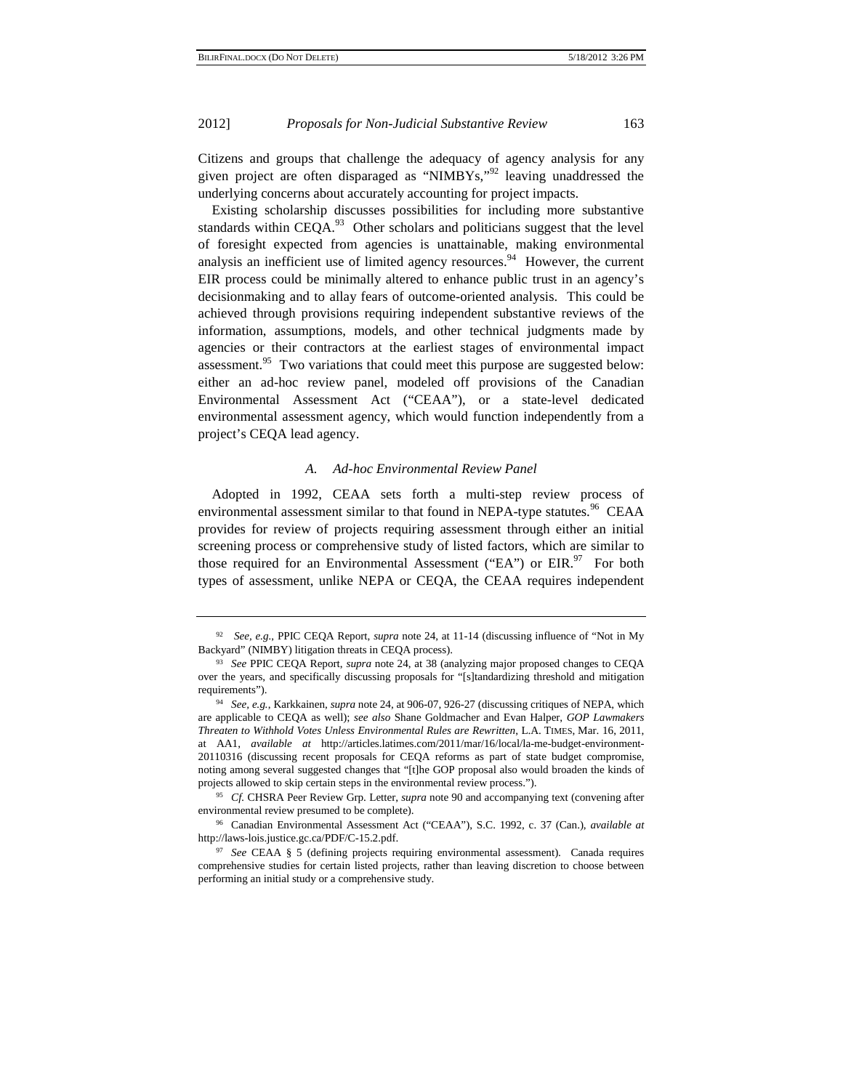Citizens and groups that challenge the adequacy of agency analysis for any given project are often disparaged as "NIMBYs,"<sup>92</sup> leaving unaddressed the underlying concerns about accurately accounting for project impacts.

Existing scholarship discusses possibilities for including more substantive standards within CEQA.<sup>93</sup> Other scholars and politicians suggest that the level of foresight expected from agencies is unattainable, making environmental analysis an inefficient use of limited agency resources.<sup>94</sup> However, the current EIR process could be minimally altered to enhance public trust in an agency's decisionmaking and to allay fears of outcome-oriented analysis. This could be achieved through provisions requiring independent substantive reviews of the information, assumptions, models, and other technical judgments made by agencies or their contractors at the earliest stages of environmental impact assessment.<sup>95</sup> Two variations that could meet this purpose are suggested below: either an ad-hoc review panel, modeled off provisions of the Canadian Environmental Assessment Act ("CEAA"), or a state-level dedicated environmental assessment agency, which would function independently from a project's CEQA lead agency.

# *A. Ad-hoc Environmental Review Panel*

Adopted in 1992, CEAA sets forth a multi-step review process of environmental assessment similar to that found in NEPA-type statutes.<sup>96</sup> CEAA provides for review of projects requiring assessment through either an initial screening process or comprehensive study of listed factors, which are similar to those required for an Environmental Assessment ("EA") or  $EIR$ <sup>97</sup>. For both types of assessment, unlike NEPA or CEQA, the CEAA requires independent

 <sup>92</sup> *See, e.g.*, PPIC CEQA Report, *supra* note 24, at 11-14 (discussing influence of "Not in My Backyard" (NIMBY) litigation threats in CEQA process). 93 *See* PPIC CEQA Report, *supra* note 24, at 38 (analyzing major proposed changes to CEQA

over the years, and specifically discussing proposals for "[s]tandardizing threshold and mitigation requirements"). 94 *See, e.g.*, Karkkainen, *supra* note 24, at 906-07, 926-27 (discussing critiques of NEPA, which

are applicable to CEQA as well); *see also* Shane Goldmacher and Evan Halper, *GOP Lawmakers Threaten to Withhold Votes Unless Environmental Rules are Rewritten*, L.A. TIMES, Mar. 16, 2011, at AA1, *available at* http://articles.latimes.com/2011/mar/16/local/la-me-budget-environment-20110316 (discussing recent proposals for CEQA reforms as part of state budget compromise, noting among several suggested changes that "[t]he GOP proposal also would broaden the kinds of projects allowed to skip certain steps in the environmental review process."). 95 *Cf.* CHSRA Peer Review Grp. Letter, *supra* note 90 and accompanying text (convening after

environmental review presumed to be complete). 96 Canadian Environmental Assessment Act ("CEAA"), S.C. 1992, c. 37 (Can.), *available at*

http://laws-lois.justice.gc.ca/PDF/C-15.2.pdf.

<sup>97</sup> *See* CEAA § 5 (defining projects requiring environmental assessment). Canada requires comprehensive studies for certain listed projects, rather than leaving discretion to choose between performing an initial study or a comprehensive study.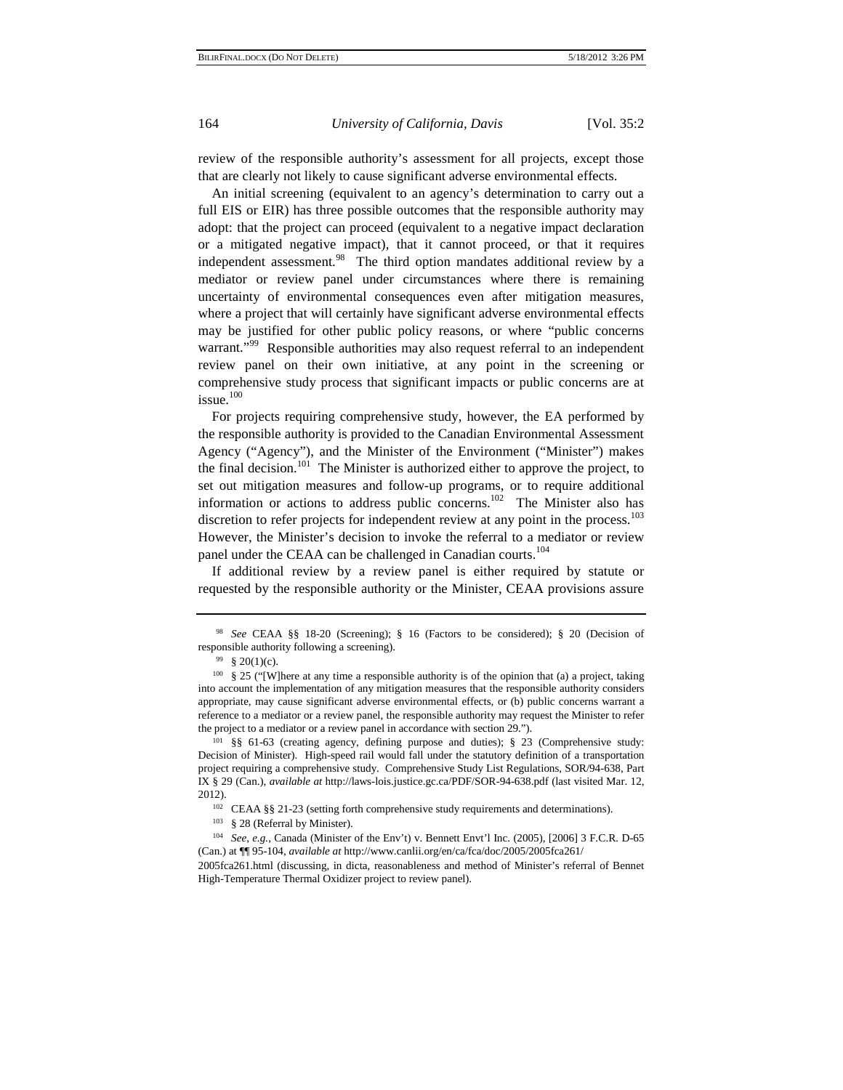review of the responsible authority's assessment for all projects, except those that are clearly not likely to cause significant adverse environmental effects.

An initial screening (equivalent to an agency's determination to carry out a full EIS or EIR) has three possible outcomes that the responsible authority may adopt: that the project can proceed (equivalent to a negative impact declaration or a mitigated negative impact), that it cannot proceed, or that it requires independent assessment.<sup>98</sup> The third option mandates additional review by a mediator or review panel under circumstances where there is remaining uncertainty of environmental consequences even after mitigation measures, where a project that will certainly have significant adverse environmental effects may be justified for other public policy reasons, or where "public concerns warrant."<sup>99</sup> Responsible authorities may also request referral to an independent review panel on their own initiative, at any point in the screening or comprehensive study process that significant impacts or public concerns are at issue.<sup>100</sup>

For projects requiring comprehensive study, however, the EA performed by the responsible authority is provided to the Canadian Environmental Assessment Agency ("Agency"), and the Minister of the Environment ("Minister") makes the final decision.<sup>101</sup> The Minister is authorized either to approve the project, to set out mitigation measures and follow-up programs, or to require additional information or actions to address public concerns.<sup>102</sup> The Minister also has discretion to refer projects for independent review at any point in the process.<sup>103</sup> However, the Minister's decision to invoke the referral to a mediator or review panel under the CEAA can be challenged in Canadian courts.<sup>104</sup>

If additional review by a review panel is either required by statute or requested by the responsible authority or the Minister, CEAA provisions assure

<sup>98</sup> *See* CEAA §§ 18-20 (Screening); § 16 (Factors to be considered); § 20 (Decision of responsible authority following a screening).<br><sup>99</sup> § 20(1)(c).

<sup>100 § 25 (&</sup>quot;[W]here at any time a responsible authority is of the opinion that (a) a project, taking into account the implementation of any mitigation measures that the responsible authority considers appropriate, may cause significant adverse environmental effects, or (b) public concerns warrant a reference to a mediator or a review panel, the responsible authority may request the Minister to refer the project to a mediator or a review panel in accordance with section 29.").<br><sup>101</sup> §§ 61-63 (creating agency, defining purpose and duties); § 23 (Comprehensive study:

Decision of Minister). High-speed rail would fall under the statutory definition of a transportation project requiring a comprehensive study. Comprehensive Study List Regulations, SOR/94-638, Part IX § 29 (Can.), *available at* http://laws-lois.justice.gc.ca/PDF/SOR-94-638.pdf (last visited Mar. 12, 2012).<br><sup>102</sup> CEAA §§ 21-23 (setting forth comprehensive study requirements and determinations).

<sup>103 § 28 (</sup>Referral by Minister).

<sup>104</sup> *See, e.g.*, Canada (Minister of the Env't) v. Bennett Envt'l Inc. (2005), [2006] 3 F.C.R. D-65 (Can.) at ¶¶ 95-104, *available at* http://www.canlii.org/en/ca/fca/doc/2005/2005fca261/

<sup>2005</sup>fca261.html (discussing, in dicta, reasonableness and method of Minister's referral of Bennet High-Temperature Thermal Oxidizer project to review panel).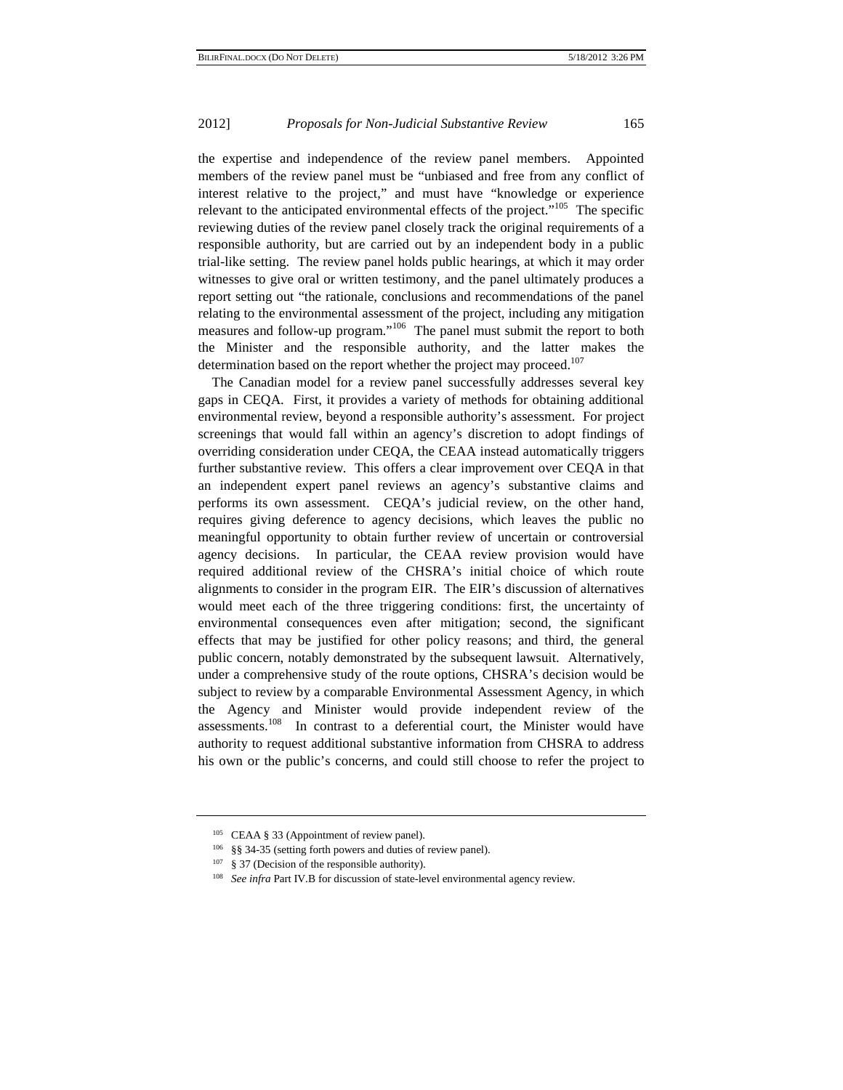the expertise and independence of the review panel members. Appointed members of the review panel must be "unbiased and free from any conflict of interest relative to the project," and must have "knowledge or experience relevant to the anticipated environmental effects of the project."<sup>105</sup> The specific reviewing duties of the review panel closely track the original requirements of a responsible authority, but are carried out by an independent body in a public trial-like setting. The review panel holds public hearings, at which it may order witnesses to give oral or written testimony, and the panel ultimately produces a report setting out "the rationale, conclusions and recommendations of the panel relating to the environmental assessment of the project, including any mitigation measures and follow-up program."<sup>106</sup> The panel must submit the report to both the Minister and the responsible authority, and the latter makes the determination based on the report whether the project may proceed.<sup>107</sup>

The Canadian model for a review panel successfully addresses several key gaps in CEQA. First, it provides a variety of methods for obtaining additional environmental review, beyond a responsible authority's assessment. For project screenings that would fall within an agency's discretion to adopt findings of overriding consideration under CEQA, the CEAA instead automatically triggers further substantive review. This offers a clear improvement over CEQA in that an independent expert panel reviews an agency's substantive claims and performs its own assessment. CEQA's judicial review, on the other hand, requires giving deference to agency decisions, which leaves the public no meaningful opportunity to obtain further review of uncertain or controversial agency decisions. In particular, the CEAA review provision would have required additional review of the CHSRA's initial choice of which route alignments to consider in the program EIR. The EIR's discussion of alternatives would meet each of the three triggering conditions: first, the uncertainty of environmental consequences even after mitigation; second, the significant effects that may be justified for other policy reasons; and third, the general public concern, notably demonstrated by the subsequent lawsuit. Alternatively, under a comprehensive study of the route options, CHSRA's decision would be subject to review by a comparable Environmental Assessment Agency, in which the Agency and Minister would provide independent review of the assessments.<sup>108</sup> In contrast to a deferential court, the Minister would have authority to request additional substantive information from CHSRA to address his own or the public's concerns, and could still choose to refer the project to

<sup>&</sup>lt;sup>105</sup> CEAA § 33 (Appointment of review panel).

<sup>106 §§ 34-35 (</sup>setting forth powers and duties of review panel).

<sup>&</sup>lt;sup>107</sup> § 37 (Decision of the responsible authority).

<sup>108</sup> *See infra* Part IV.B for discussion of state-level environmental agency review.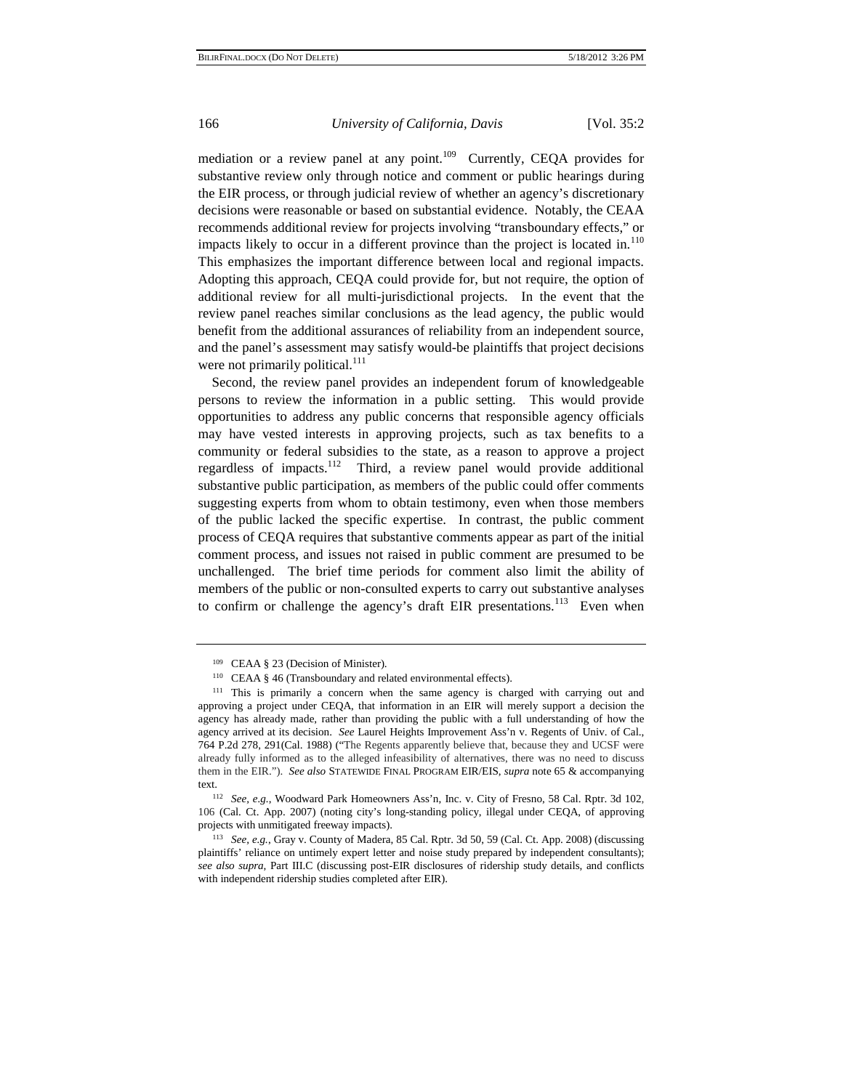mediation or a review panel at any point.<sup>109</sup> Currently, CEQA provides for substantive review only through notice and comment or public hearings during the EIR process, or through judicial review of whether an agency's discretionary decisions were reasonable or based on substantial evidence. Notably, the CEAA recommends additional review for projects involving "transboundary effects," or impacts likely to occur in a different province than the project is located in.<sup>110</sup> This emphasizes the important difference between local and regional impacts. Adopting this approach, CEQA could provide for, but not require, the option of additional review for all multi-jurisdictional projects. In the event that the review panel reaches similar conclusions as the lead agency, the public would benefit from the additional assurances of reliability from an independent source, and the panel's assessment may satisfy would-be plaintiffs that project decisions were not primarily political. $^{111}$ 

Second, the review panel provides an independent forum of knowledgeable persons to review the information in a public setting. This would provide opportunities to address any public concerns that responsible agency officials may have vested interests in approving projects, such as tax benefits to a community or federal subsidies to the state, as a reason to approve a project regardless of impacts.112 Third, a review panel would provide additional substantive public participation, as members of the public could offer comments suggesting experts from whom to obtain testimony, even when those members of the public lacked the specific expertise. In contrast, the public comment process of CEQA requires that substantive comments appear as part of the initial comment process, and issues not raised in public comment are presumed to be unchallenged. The brief time periods for comment also limit the ability of members of the public or non-consulted experts to carry out substantive analyses to confirm or challenge the agency's draft EIR presentations.<sup>113</sup> Even when

<sup>109</sup> CEAA § 23 (Decision of Minister).

<sup>&</sup>lt;sup>110</sup> CEAA § 46 (Transboundary and related environmental effects).

<sup>111</sup> This is primarily a concern when the same agency is charged with carrying out and approving a project under CEQA, that information in an EIR will merely support a decision the agency has already made, rather than providing the public with a full understanding of how the agency arrived at its decision. *See* Laurel Heights Improvement Ass'n v. Regents of Univ. of Cal., 764 P.2d 278, 291(Cal. 1988) ("The Regents apparently believe that, because they and UCSF were already fully informed as to the alleged infeasibility of alternatives, there was no need to discuss them in the EIR."). *See also* STATEWIDE FINAL PROGRAM EIR/EIS, *supra* note 65 & accompanying text.

<sup>112</sup> *See, e.g.*, Woodward Park Homeowners Ass'n, Inc. v. City of Fresno, 58 Cal. Rptr. 3d 102, 106 (Cal. Ct. App. 2007) (noting city's long-standing policy, illegal under CEQA, of approving

<sup>&</sup>lt;sup>113</sup> *See, e.g.*, Gray v. County of Madera, 85 Cal. Rptr. 3d 50, 59 (Cal. Ct. App. 2008) (discussing plaintiffs' reliance on untimely expert letter and noise study prepared by independent consultants); *see also supra*, Part III.C (discussing post-EIR disclosures of ridership study details, and conflicts with independent ridership studies completed after EIR).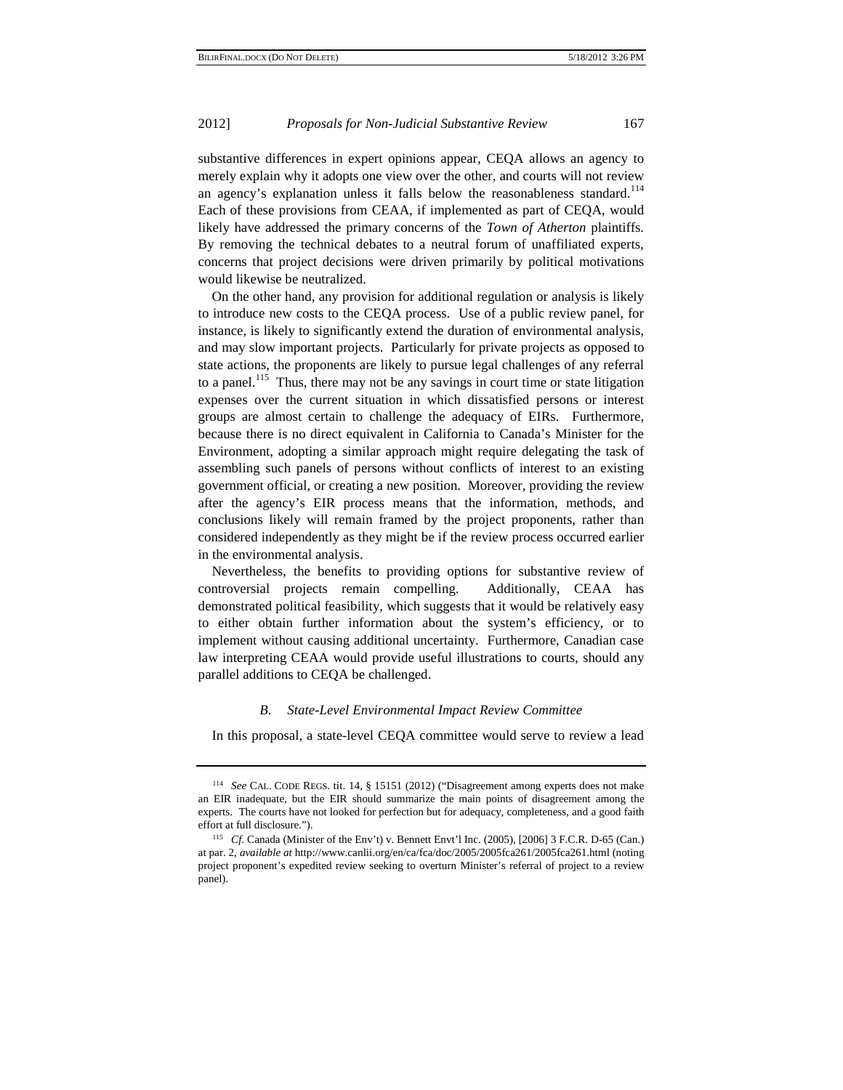substantive differences in expert opinions appear, CEQA allows an agency to merely explain why it adopts one view over the other, and courts will not review an agency's explanation unless it falls below the reasonableness standard.<sup>114</sup> Each of these provisions from CEAA, if implemented as part of CEQA, would likely have addressed the primary concerns of the *Town of Atherton* plaintiffs. By removing the technical debates to a neutral forum of unaffiliated experts, concerns that project decisions were driven primarily by political motivations would likewise be neutralized.

On the other hand, any provision for additional regulation or analysis is likely to introduce new costs to the CEQA process. Use of a public review panel, for instance, is likely to significantly extend the duration of environmental analysis, and may slow important projects. Particularly for private projects as opposed to state actions, the proponents are likely to pursue legal challenges of any referral to a panel.<sup>115</sup> Thus, there may not be any savings in court time or state litigation expenses over the current situation in which dissatisfied persons or interest groups are almost certain to challenge the adequacy of EIRs. Furthermore, because there is no direct equivalent in California to Canada's Minister for the Environment, adopting a similar approach might require delegating the task of assembling such panels of persons without conflicts of interest to an existing government official, or creating a new position. Moreover, providing the review after the agency's EIR process means that the information, methods, and conclusions likely will remain framed by the project proponents, rather than considered independently as they might be if the review process occurred earlier in the environmental analysis.

Nevertheless, the benefits to providing options for substantive review of controversial projects remain compelling. Additionally, CEAA has demonstrated political feasibility, which suggests that it would be relatively easy to either obtain further information about the system's efficiency, or to implement without causing additional uncertainty. Furthermore, Canadian case law interpreting CEAA would provide useful illustrations to courts, should any parallel additions to CEQA be challenged.

# *B. State-Level Environmental Impact Review Committee*

In this proposal, a state-level CEQA committee would serve to review a lead

<sup>114</sup> *See* CAL. CODE REGS. tit. 14, § 15151 (2012) ("Disagreement among experts does not make an EIR inadequate, but the EIR should summarize the main points of disagreement among the experts. The courts have not looked for perfection but for adequacy, completeness, and a good faith effort at full disclosure."). 115 *Cf.* Canada (Minister of the Env't) v. Bennett Envt'l Inc. (2005), [2006] 3 F.C.R. D-65 (Can.)

at par. 2, *available at* http://www.canlii.org/en/ca/fca/doc/2005/2005fca261/2005fca261.html (noting project proponent's expedited review seeking to overturn Minister's referral of project to a review panel).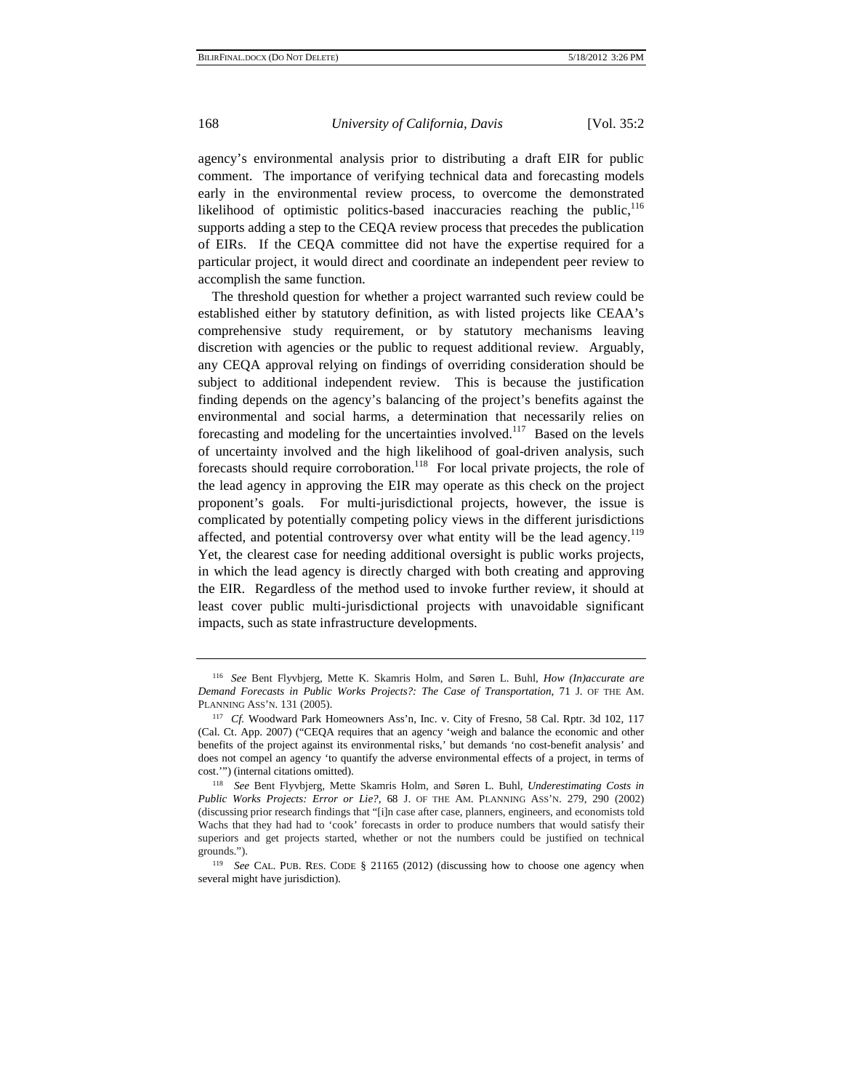agency's environmental analysis prior to distributing a draft EIR for public comment. The importance of verifying technical data and forecasting models early in the environmental review process, to overcome the demonstrated likelihood of optimistic politics-based inaccuracies reaching the public,<sup>116</sup> supports adding a step to the CEQA review process that precedes the publication of EIRs. If the CEQA committee did not have the expertise required for a particular project, it would direct and coordinate an independent peer review to accomplish the same function.

The threshold question for whether a project warranted such review could be established either by statutory definition, as with listed projects like CEAA's comprehensive study requirement, or by statutory mechanisms leaving discretion with agencies or the public to request additional review. Arguably, any CEQA approval relying on findings of overriding consideration should be subject to additional independent review. This is because the justification finding depends on the agency's balancing of the project's benefits against the environmental and social harms, a determination that necessarily relies on forecasting and modeling for the uncertainties involved.<sup>117</sup> Based on the levels of uncertainty involved and the high likelihood of goal-driven analysis, such forecasts should require corroboration.<sup>118</sup> For local private projects, the role of the lead agency in approving the EIR may operate as this check on the project proponent's goals. For multi-jurisdictional projects, however, the issue is complicated by potentially competing policy views in the different jurisdictions affected, and potential controversy over what entity will be the lead agency.<sup>119</sup> Yet, the clearest case for needing additional oversight is public works projects, in which the lead agency is directly charged with both creating and approving the EIR. Regardless of the method used to invoke further review, it should at least cover public multi-jurisdictional projects with unavoidable significant impacts, such as state infrastructure developments.

<sup>116</sup> *See* Bent Flyvbjerg, Mette K. Skamris Holm, and Søren L. Buhl, *How (In)accurate are Demand Forecasts in Public Works Projects?: The Case of Transportation*, 71 J. OF THE AM. PLANNING ASS'N. 131 (2005).

<sup>117</sup> *Cf.* Woodward Park Homeowners Ass'n, Inc. v. City of Fresno, 58 Cal. Rptr. 3d 102, 117 (Cal. Ct. App. 2007) ("CEQA requires that an agency 'weigh and balance the economic and other benefits of the project against its environmental risks,' but demands 'no cost-benefit analysis' and does not compel an agency 'to quantify the adverse environmental effects of a project, in terms of cost.'") (internal citations omitted). 118 *See* Bent Flyvbjerg, Mette Skamris Holm, and Søren L. Buhl, *Underestimating Costs in* 

*Public Works Projects: Error or Lie?*, 68 J. OF THE AM. PLANNING ASS'N. 279, 290 (2002) (discussing prior research findings that "[i]n case after case, planners, engineers, and economists told Wachs that they had had to 'cook' forecasts in order to produce numbers that would satisfy their superiors and get projects started, whether or not the numbers could be justified on technical grounds.").

<sup>119</sup> *See* CAL. PUB. RES. CODE § 21165 (2012) (discussing how to choose one agency when several might have jurisdiction).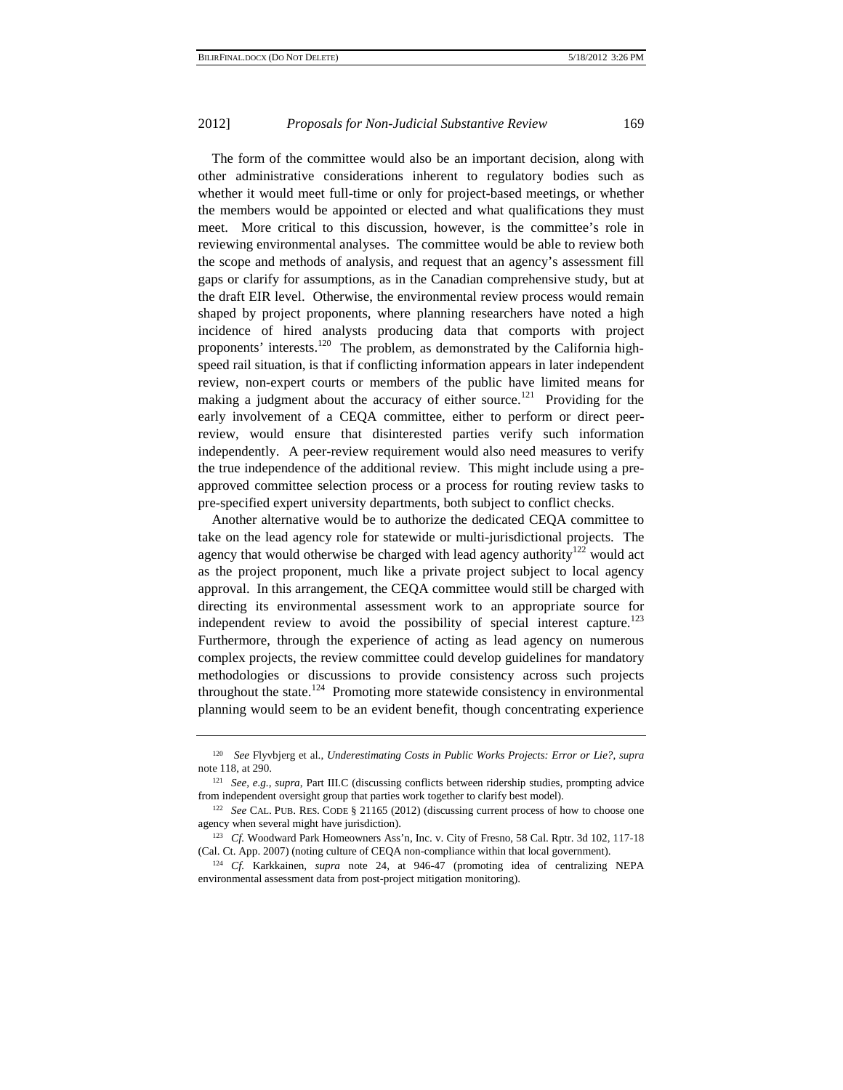The form of the committee would also be an important decision, along with other administrative considerations inherent to regulatory bodies such as whether it would meet full-time or only for project-based meetings, or whether the members would be appointed or elected and what qualifications they must meet. More critical to this discussion, however, is the committee's role in reviewing environmental analyses. The committee would be able to review both the scope and methods of analysis, and request that an agency's assessment fill gaps or clarify for assumptions, as in the Canadian comprehensive study, but at the draft EIR level. Otherwise, the environmental review process would remain shaped by project proponents, where planning researchers have noted a high incidence of hired analysts producing data that comports with project proponents' interests.<sup>120</sup> The problem, as demonstrated by the California highspeed rail situation, is that if conflicting information appears in later independent review, non-expert courts or members of the public have limited means for making a judgment about the accuracy of either source.<sup>121</sup> Providing for the early involvement of a CEQA committee, either to perform or direct peerreview, would ensure that disinterested parties verify such information independently. A peer-review requirement would also need measures to verify the true independence of the additional review. This might include using a preapproved committee selection process or a process for routing review tasks to pre-specified expert university departments, both subject to conflict checks.

Another alternative would be to authorize the dedicated CEQA committee to take on the lead agency role for statewide or multi-jurisdictional projects. The agency that would otherwise be charged with lead agency authority<sup>122</sup> would act as the project proponent, much like a private project subject to local agency approval. In this arrangement, the CEQA committee would still be charged with directing its environmental assessment work to an appropriate source for independent review to avoid the possibility of special interest capture.<sup>123</sup> Furthermore, through the experience of acting as lead agency on numerous complex projects, the review committee could develop guidelines for mandatory methodologies or discussions to provide consistency across such projects throughout the state.<sup>124</sup> Promoting more statewide consistency in environmental planning would seem to be an evident benefit, though concentrating experience

<sup>120</sup> *See* Flyvbjerg et al., *Underestimating Costs in Public Works Projects: Error or Lie?*, *supra* note 118, at 290.

<sup>121</sup> *See, e.g.*, *supra*, Part III.C (discussing conflicts between ridership studies, prompting advice from independent oversight group that parties work together to clarify best model). 122 *See* CAL. PUB. RES. CODE § 21165 (2012) (discussing current process of how to choose one

agency when several might have jurisdiction).<br><sup>123</sup> *Cf.* Woodward Park Homeowners Ass'n, Inc. v. City of Fresno, 58 Cal. Rptr. 3d 102, 117-18

<sup>(</sup>Cal. Ct. App. 2007) (noting culture of CEQA non-compliance within that local government). 124 *Cf.* Karkkainen, *supra* note 24, at 946-47 (promoting idea of centralizing NEPA

environmental assessment data from post-project mitigation monitoring).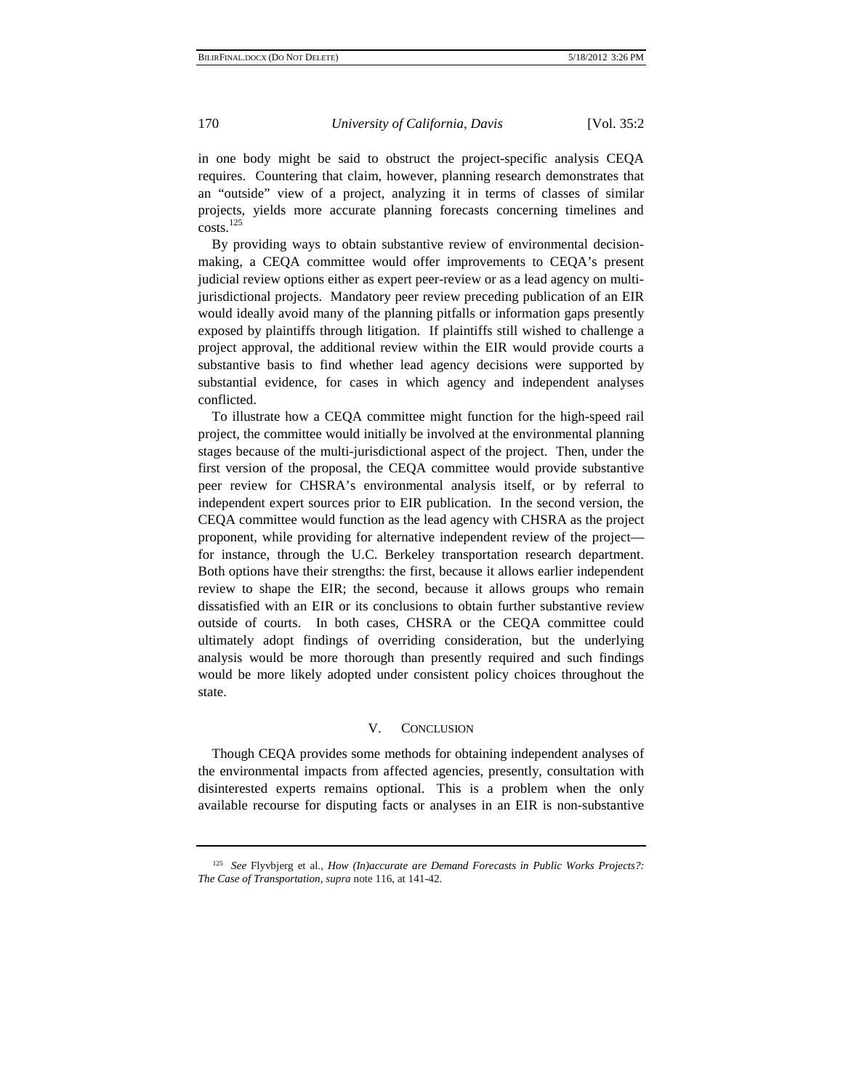in one body might be said to obstruct the project-specific analysis CEQA requires. Countering that claim, however, planning research demonstrates that an "outside" view of a project, analyzing it in terms of classes of similar projects, yields more accurate planning forecasts concerning timelines and costs.<sup>125</sup>

By providing ways to obtain substantive review of environmental decisionmaking, a CEQA committee would offer improvements to CEQA's present judicial review options either as expert peer-review or as a lead agency on multijurisdictional projects. Mandatory peer review preceding publication of an EIR would ideally avoid many of the planning pitfalls or information gaps presently exposed by plaintiffs through litigation. If plaintiffs still wished to challenge a project approval, the additional review within the EIR would provide courts a substantive basis to find whether lead agency decisions were supported by substantial evidence, for cases in which agency and independent analyses conflicted.

To illustrate how a CEQA committee might function for the high-speed rail project, the committee would initially be involved at the environmental planning stages because of the multi-jurisdictional aspect of the project. Then, under the first version of the proposal, the CEQA committee would provide substantive peer review for CHSRA's environmental analysis itself, or by referral to independent expert sources prior to EIR publication. In the second version, the CEQA committee would function as the lead agency with CHSRA as the project proponent, while providing for alternative independent review of the project for instance, through the U.C. Berkeley transportation research department. Both options have their strengths: the first, because it allows earlier independent review to shape the EIR; the second, because it allows groups who remain dissatisfied with an EIR or its conclusions to obtain further substantive review outside of courts. In both cases, CHSRA or the CEQA committee could ultimately adopt findings of overriding consideration, but the underlying analysis would be more thorough than presently required and such findings would be more likely adopted under consistent policy choices throughout the state.

# V. CONCLUSION

Though CEQA provides some methods for obtaining independent analyses of the environmental impacts from affected agencies, presently, consultation with disinterested experts remains optional. This is a problem when the only available recourse for disputing facts or analyses in an EIR is non-substantive

<sup>125</sup> *See* Flyvbjerg et al., *How (In)accurate are Demand Forecasts in Public Works Projects?: The Case of Transportation*, *supra* note 116, at 141-42.